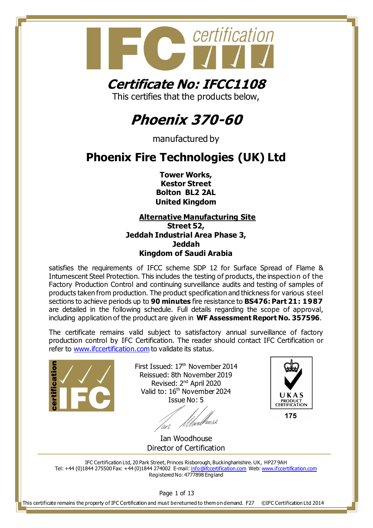

### **Certificate No: IFCC1108**

This certifies that the products below,

#### **Phoenix 370-60**

manufactured by

#### **Phoenix Fire Technologies (UK) Ltd**

**Tower Works, Kestor Street Bolton BL2 2AL United Kingdom**

**Alternative Manufacturing Site Street 52, Jeddah Industrial Area Phase 3, Jeddah Kingdom of Saudi Arabia**

satisfies the requirements of IFCC scheme SDP 12 for Surface Spread of Flame & Intumescent Steel Protection. This includes the testing of products, the inspection of the Factory Production Control and continuing surveillance audits and testing of samples of products taken from production. The product specification and thickness for various steel sections to achieve periods up to **90 minutes** fire resistance to **BS476: Part 21: 1987** are detailed in the following schedule. Full details regarding the scope of approval, including application of the product are given in **WF Assessment Report No. 357596**.

The certificate remains valid subject to satisfactory annual surveillance of factory production control by IFC Certification. The reader should contact IFC Certification or refer to [www.ifccertification.com](http://www.ifccertification.com/) to validate its status.



First Issued: 17<sup>th</sup> November 2014 Reissued: 8th November 2019 Revised: 2<sup>nd</sup> April 2020 Valid to: 16<sup>th</sup> November 2024 Issue No: 5

/wellhers2



Ian Woodhouse Director of Certification

IFC Certification Ltd, 20 Park Street, Princes Risborough, Buckinghamshire. UK, HP27 9AH Tel: +44 (0)1844 275500 Fax: +44 (0)1844 274002 E-mail[: info@ifccertification.com](mailto:info@ifccertification.com) Web[: www.ifccertification.com](http://www.ifccertification.com/) Registered No: 4777898 England

Page 1 of 13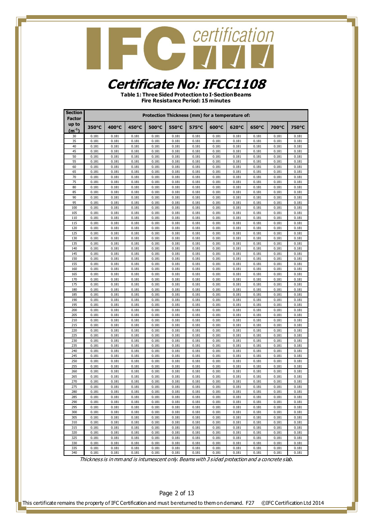#### **Certificate No: IFCC1108**

**Table 1: Three Sided Protection to I-Section Beams Fire Resistance Period: 15 minutes**

| <b>Section</b><br>Factor |                | Protection Thickness (mm) for a temperature of:<br>400°C<br>450°C<br>550°C<br>700°C<br>500°C<br>575°C<br>600°C<br>620°C<br>650°C<br>750°C |                |                |                |                |                |                |                |                |                |  |  |  |
|--------------------------|----------------|-------------------------------------------------------------------------------------------------------------------------------------------|----------------|----------------|----------------|----------------|----------------|----------------|----------------|----------------|----------------|--|--|--|
| up to<br>$(m^{-1})$      | 350°C          |                                                                                                                                           |                |                |                |                |                |                |                |                |                |  |  |  |
| 30                       | 0.181          | 0.181                                                                                                                                     | 0.181          | 0.181          | 0.181          | 0.181          | 0.181          | 0.181          | 0.181          | 0.181          | 0.181          |  |  |  |
| 35                       | 0.181          | 0.181                                                                                                                                     | 0.181          | 0.181          | 0.181          | 0.181          | 0.181          | 0.181          | 0.181          | 0.181          | 0.181          |  |  |  |
| 40                       | 0.181          | 0.181                                                                                                                                     | 0.181          | 0.181          | 0.181          | 0.181          | 0.181          | 0.181          | 0.181          | 0.181          | 0.181          |  |  |  |
| 45                       | 0.181          | 0.181                                                                                                                                     | 0.181          | 0.181          | 0.181          | 0.181          | 0.181<br>0.181 | 0.181          | 0.181          | 0.181          | 0.181          |  |  |  |
| 50<br>55                 | 0.181<br>0.181 | 0.181<br>0.181                                                                                                                            | 0.181<br>0.181 | 0.181<br>0.181 | 0.181<br>0.181 | 0.181<br>0.181 | 0.181          | 0.181<br>0.181 | 0.181<br>0.181 | 0.181<br>0.181 | 0.181<br>0.181 |  |  |  |
| 60                       | 0.181          | 0.181                                                                                                                                     | 0.181          | 0.181          | 0.181          | 0.181          | 0.181          | 0.181          | 0.181          | 0.181          | 0.181          |  |  |  |
| 65                       | 0.181          | 0.181                                                                                                                                     | 0.181          | 0.181          | 0.181          | 0.181          | 0.181          | 0.181          | 0.181          | 0.181          | 0.181          |  |  |  |
| 70                       | 0.181          | 0.181                                                                                                                                     | 0.181          | 0.181          | 0.181          | 0.181          | 0.181          | 0.181          | 0.181          | 0.181          | 0.181          |  |  |  |
| 75                       | 0.181          | 0.181                                                                                                                                     | 0.181          | 0.181          | 0.181          | 0.181          | 0.181          | 0.181          | 0.181          | 0.181          | 0.181          |  |  |  |
| 80<br>85                 | 0.181<br>0.181 | 0.181<br>0.181                                                                                                                            | 0.181<br>0.181 | 0.181<br>0.181 | 0.181<br>0.181 | 0.181<br>0.181 | 0.181<br>0.181 | 0.181<br>0.181 | 0.181<br>0.181 | 0.181<br>0.181 | 0.181<br>0.181 |  |  |  |
| 90                       | 0.181          | 0.181                                                                                                                                     | 0.181          | 0.181          | 0.181          | 0.181          | 0.181          | 0.181          | 0.181          | 0.181          | 0.181          |  |  |  |
| 95                       | 0.181          | 0.181                                                                                                                                     | 0.181          | 0.181          | 0.181          | 0.181          | 0.181          | 0.181          | 0.181          | 0.181          | 0.181          |  |  |  |
| 100                      | 0.181          | 0.181                                                                                                                                     | 0.181          | 0.181          | 0.181          | 0.181          | 0.181          | 0.181          | 0.181          | 0.181          | 0.181          |  |  |  |
| 105                      | 0.181          | 0.181                                                                                                                                     | 0.181          | 0.181          | 0.181          | 0.181          | 0.181          | 0.181          | 0.181          | 0.181          | 0.181          |  |  |  |
| 110<br>115               | 0.181<br>0.181 | 0.181<br>0.181                                                                                                                            | 0.181<br>0.181 | 0.181<br>0.181 | 0.181<br>0.181 | 0.181<br>0.181 | 0.181<br>0.181 | 0.181<br>0.181 | 0.181<br>0.181 | 0.181<br>0.181 | 0.181<br>0.181 |  |  |  |
| 120                      | 0.181          | 0.181                                                                                                                                     | 0.181          | 0.181          | 0.181          | 0.181          | 0.181          | 0.181          | 0.181          | 0.181          | 0.181          |  |  |  |
| 125                      | 0.181          | 0.181                                                                                                                                     | 0.181          | 0.181          | 0.181          | 0.181          | 0.181          | 0.181          | 0.181          | 0.181          | 0.181          |  |  |  |
| 130                      | 0.181          | 0.181                                                                                                                                     | 0.181          | 0.181          | 0.181          | 0.181          | 0.181          | 0.181          | 0.181          | 0.181          | 0.181          |  |  |  |
| 135                      | 0.181          | 0.181                                                                                                                                     | 0.181          | 0.181          | 0.181          | 0.181          | 0.181          | 0.181          | 0.181          | 0.181          | 0.181          |  |  |  |
| 140<br>145               | 0.181<br>0.181 | 0.181<br>0.181                                                                                                                            | 0.181<br>0.181 | 0.181<br>0.181 | 0.181<br>0.181 | 0.181<br>0.181 | 0.181<br>0.181 | 0.181<br>0.181 | 0.181<br>0.181 | 0.181<br>0.181 | 0.181<br>0.181 |  |  |  |
| 150                      | 0.181          | 0.181                                                                                                                                     | 0.181          | 0.181          | 0.181          | 0.181          | 0.181          | 0.181          | 0.181          | 0.181          | 0.181          |  |  |  |
| 155                      | 0.181          | 0.181                                                                                                                                     | 0.181          | 0.181          | 0.181          | 0.181          | 0.181          | 0.181          | 0.181          | 0.181          | 0.181          |  |  |  |
| 160                      | 0.181          | 0.181                                                                                                                                     | 0.181          | 0.181          | 0.181          | 0.181          | 0.181          | 0.181          | 0.181          | 0.181          | 0.181          |  |  |  |
| 165                      | 0.181          | 0.181                                                                                                                                     | 0.181          | 0.181          | 0.181          | 0.181          | 0.181          | 0.181          | 0.181          | 0.181          | 0.181          |  |  |  |
| 170<br>175               | 0.181<br>0.181 | 0.181<br>0.181                                                                                                                            | 0.181<br>0.181 | 0.181<br>0.181 | 0.181<br>0.181 | 0.181          | 0.181<br>0.181 | 0.181<br>0.181 | 0.181<br>0.181 | 0.181<br>0.181 | 0.181<br>0.181 |  |  |  |
| 180                      | 0.181          | 0.181                                                                                                                                     | 0.181          | 0.181          | 0.181          | 0.181<br>0.181 | 0.181          | 0.181          | 0.181          | 0.181          | 0.181          |  |  |  |
| 185                      | 0.181          | 0.181                                                                                                                                     | 0.181          | 0.181          | 0.181          | 0.181          | 0.181          | 0.181          | 0.181          | 0.181          | 0.181          |  |  |  |
| 190                      | 0.181          | 0.181                                                                                                                                     | 0.181          | 0.181          | 0.181          | 0.181          | 0.181          | 0.181          | 0.181          | 0.181          | 0.181          |  |  |  |
| 195                      | 0.181          | 0.181                                                                                                                                     | 0.181          | 0.181          | 0.181          | 0.181          | 0.181          | 0.181          | 0.181          | 0.181          | 0.181          |  |  |  |
| 200                      | 0.181          | 0.181                                                                                                                                     | 0.181          | 0.181          | 0.181          | 0.181          | 0.181          | 0.181          | 0.181          | 0.181          | 0.181          |  |  |  |
| 205<br>210               | 0.181<br>0.181 | 0.181<br>0.181                                                                                                                            | 0.181<br>0.181 | 0.181<br>0.181 | 0.181<br>0.181 | 0.181<br>0.181 | 0.181<br>0.181 | 0.181<br>0.181 | 0.181<br>0.181 | 0.181<br>0.181 | 0.181<br>0.181 |  |  |  |
| 215                      | 0.181          | 0.181                                                                                                                                     | 0.181          | 0.181          | 0.181          | 0.181          | 0.181          | 0.181          | 0.181          | 0.181          | 0.181          |  |  |  |
| 220                      | 0.181          | 0.181                                                                                                                                     | 0.181          | 0.181          | 0.181          | 0.181          | 0.181          | 0.181          | 0.181          | 0.181          | 0.181          |  |  |  |
| 225                      | 0.181          | 0.181                                                                                                                                     | 0.181          | 0.181          | 0.181          | 0.181          | 0.181          | 0.181          | 0.181          | 0.181          | 0.181          |  |  |  |
| 230                      | 0.181          | 0.181                                                                                                                                     | 0.181          | 0.181          | 0.181          | 0.181          | 0.181          | 0.181          | 0.181          | 0.181          | 0.181          |  |  |  |
| 235<br>240               | 0.181<br>0.181 | 0.181<br>0.181                                                                                                                            | 0.181<br>0.181 | 0.181<br>0.181 | 0.181<br>0.181 | 0.181<br>0.181 | 0.181<br>0.181 | 0.181<br>0.181 | 0.181<br>0.181 | 0.181<br>0.181 | 0.181<br>0.181 |  |  |  |
| 245                      | 0.181          | 0.181                                                                                                                                     | 0.181          | 0.181          | 0.181          | 0.181          | 0.181          | 0.181          | 0.181          | 0.181          | 0.181          |  |  |  |
| 250                      | 0.181          | 0.181                                                                                                                                     | 0.181          | 0.181          | 0.181          | 0.181          | 0.181          | 0.181          | 0.181          | 0.181          | 0.181          |  |  |  |
| 255                      | 0.181          | 0.181                                                                                                                                     | 0.181          | 0.181          | 0.181          | 0.181          | 0.181          | 0.181          | 0.181          | 0.181          | 0.181          |  |  |  |
| 260                      | 0.181          | 0.181                                                                                                                                     | 0.181          | 0.181          | 0.181          | 0.181          | 0.181          | 0.181          | 0.181          | 0.181          | 0.181          |  |  |  |
| 265<br>270               | 0.181<br>0.181 | 0.181<br>0.181                                                                                                                            | 0.181<br>0.181 | 0.181<br>0.181 | 0.181<br>0.181 | 0.181<br>0.181 | 0.181<br>0.181 | 0.181<br>0.181 | 0.181<br>0.181 | 0.181<br>0.181 | 0.181<br>0.181 |  |  |  |
| 275                      | 0.181          | 0.181                                                                                                                                     | 0.181          | 0.181          | 0.181          | 0.181          | 0.181          | 0.181          | 0.181          | 0.181          | 0.181          |  |  |  |
| 280                      | 0.181          | 0.181                                                                                                                                     | 0.181          | 0.181          | 0.181          | 0.181          | 0.181          | 0.181          | 0.181          | 0.181          | 0.181          |  |  |  |
| 285                      | 0.181          | 0.181                                                                                                                                     | 0.181          | 0.181          | 0.181          | 0.181          | 0.181          | 0.181          | 0.181          | 0.181          | 0.181          |  |  |  |
| 290                      | 0.181          | 0.181                                                                                                                                     | 0.181          | 0.181          | 0.181          | 0.181          | 0.181          | 0.181          | 0.181          | 0.181          | 0.181          |  |  |  |
| 295<br>300               | 0.181          | 0.181                                                                                                                                     | 0.181          | 0.181          | 0.181          | 0.181          | 0.181          | 0.181          | 0.181<br>0.181 | 0.181<br>0.181 | 0.181<br>0.181 |  |  |  |
| 305                      | 0.181<br>0.181 | 0.181<br>0.181                                                                                                                            | 0.181<br>0.181 | 0.181<br>0.181 | 0.181<br>0.181 | 0.181<br>0.181 | 0.181<br>0.181 | 0.181<br>0.181 | 0.181          | 0.181          | 0.181          |  |  |  |
| 310                      | 0.181          | 0.181                                                                                                                                     | 0.181          | 0.181          | 0.181          | 0.181          | 0.181          | 0.181          | 0.181          | 0.181          | 0.181          |  |  |  |
| 315                      | 0.181          | 0.181                                                                                                                                     | 0.181          | 0.181          | 0.181          | 0.181          | 0.181          | 0.181          | 0.181          | 0.181          | 0.181          |  |  |  |
| 320                      | 0.181          | 0.181                                                                                                                                     | 0.181          | 0.181          | 0.181          | 0.181          | 0.181          | 0.181          | 0.181          | 0.181          | 0.181          |  |  |  |
| 325                      | 0.181          | 0.181                                                                                                                                     | 0.181          | 0.181          | 0.181          | 0.181          | 0.181          | 0.181          | 0.181          | 0.181          | 0.181          |  |  |  |
| 330<br>335               | 0.181<br>0.181 | 0.181<br>0.181                                                                                                                            | 0.181<br>0.181 | 0.181<br>0.181 | 0.181<br>0.181 | 0.181<br>0.181 | 0.181<br>0.181 | 0.181<br>0.181 | 0.181<br>0.181 | 0.181<br>0.181 | 0.181<br>0.181 |  |  |  |
| 340                      | 0.181          | 0.181                                                                                                                                     | 0.181          | 0.181          | 0.181          | 0.181          | 0.181          | 0.181          | 0.181          | 0.181          | 0.181          |  |  |  |

Thickness is in mm and is intumescent only. Beams with 3 sided protection and a concrete slab.

Page 2 of 13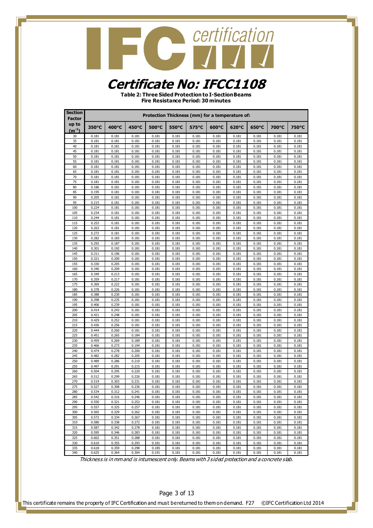#### **Certificate No: IFCC1108**

**Table 2: Three Sided Protection to I-Section Beams Fire Resistance Period: 30 minutes**

| <b>Section</b><br>Factor |                | Protection Thickness (mm) for a temperature of:<br>400°C<br>450°C<br>550°C<br>650°C<br>700°C<br>500°C<br>575°C<br>600°C<br>620°C<br>750°C |                |                |                |                |                |                |                |                |                |  |  |  |
|--------------------------|----------------|-------------------------------------------------------------------------------------------------------------------------------------------|----------------|----------------|----------------|----------------|----------------|----------------|----------------|----------------|----------------|--|--|--|
| up to<br>$(m^{-1})$      | 350°C          |                                                                                                                                           |                |                |                |                |                |                |                |                |                |  |  |  |
| 30                       | 0.181          | 0.181                                                                                                                                     | 0.181          | 0.181          | 0.181          | 0.181          | 0.181          | 0.181          | 0.181          | 0.181          | 0.181          |  |  |  |
| 35                       | 0.181          | 0.181                                                                                                                                     | 0.181          | 0.181          | 0.181          | 0.181          | 0.181          | 0.181          | 0.181          | 0.181          | 0.181          |  |  |  |
| 40                       | 0.181          | 0.181                                                                                                                                     | 0.181          | 0.181          | 0.181          | 0.181          | 0.181          | 0.181          | 0.181          | 0.181          | 0.181          |  |  |  |
| 45                       | 0.181          | 0.181                                                                                                                                     | 0.181          | 0.181          | 0.181          | 0.181          | 0.181          | 0.181          | 0.181          | 0.181          | 0.181          |  |  |  |
| 50<br>55                 | 0.181<br>0.181 | 0.181<br>0.181                                                                                                                            | 0.181<br>0.181 | 0.181<br>0.181 | 0.181<br>0.181 | 0.181<br>0.181 | 0.181<br>0.181 | 0.181<br>0.181 | 0.181<br>0.181 | 0.181<br>0.181 | 0.181<br>0.181 |  |  |  |
| 60                       | 0.181          | 0.181                                                                                                                                     | 0.181          | 0.181          | 0.181          | 0.181          | 0.181          | 0.181          | 0.181          | 0.181          | 0.181          |  |  |  |
| 65                       | 0.181          | 0.181                                                                                                                                     | 0.181          | 0.181          | 0.181          | 0.181          | 0.181          | 0.181          | 0.181          | 0.181          | 0.181          |  |  |  |
| 70                       | 0.181          | 0.181                                                                                                                                     | 0.181          | 0.181          | 0.181          | 0.181          | 0.181          | 0.181          | 0.181          | 0.181          | 0.181          |  |  |  |
| 75                       | 0.181          | 0.181                                                                                                                                     | 0.181          | 0.181          | 0.181          | 0.181          | 0.181          | 0.181          | 0.181          | 0.181          | 0.181          |  |  |  |
| 80<br>85                 | 0.186<br>0.195 | 0.181<br>0.181                                                                                                                            | 0.181<br>0.181 | 0.181<br>0.181 | 0.181<br>0.181 | 0.181<br>0.181 | 0.181<br>0.181 | 0.181<br>0.181 | 0.181<br>0.181 | 0.181<br>0.181 | 0.181<br>0.181 |  |  |  |
| 90                       | 0.205          | 0.181                                                                                                                                     | 0.181          | 0.181          | 0.181          | 0.181          | 0.181          | 0.181          | 0.181          | 0.181          | 0.181          |  |  |  |
| 95                       | 0.215          | 0.181                                                                                                                                     | 0.181          | 0.181          | 0.181          | 0.181          | 0.181          | 0.181          | 0.181          | 0.181          | 0.181          |  |  |  |
| 100                      | 0.224          | 0.181                                                                                                                                     | 0.181          | 0.181          | 0.181          | 0.181          | 0.181          | 0.181          | 0.181          | 0.181          | 0.181          |  |  |  |
| 105                      | 0.234          | 0.181                                                                                                                                     | 0.181          | 0.181          | 0.181          | 0.181          | 0.181          | 0.181          | 0.181          | 0.181          | 0.181          |  |  |  |
| 110                      | 0.244          | 0.181                                                                                                                                     | 0.181          | 0.181          | 0.181          | 0.181          | 0.181          | 0.181          | 0.181          | 0.181          | 0.181          |  |  |  |
| 115<br>120               | 0.253<br>0.263 | 0.181<br>0.181                                                                                                                            | 0.181<br>0.181 | 0.181<br>0.181 | 0.181<br>0.181 | 0.181<br>0.181 | 0.181<br>0.181 | 0.181<br>0.181 | 0.181<br>0.181 | 0.181<br>0.181 | 0.181<br>0.181 |  |  |  |
| 125                      | 0.272          | 0.181                                                                                                                                     | 0.181          | 0.181          | 0.181          | 0.181          | 0.181          | 0.181          | 0.181          | 0.181          | 0.181          |  |  |  |
| 130                      | 0.282          | 0.183                                                                                                                                     | 0.181          | 0.181          | 0.181          | 0.181          | 0.181          | 0.181          | 0.181          | 0.181          | 0.181          |  |  |  |
| 135                      | 0.292          | 0.187                                                                                                                                     | 0.181          | 0.181          | 0.181          | 0.181          | 0.181          | 0.181          | 0.181          | 0.181          | 0.181          |  |  |  |
| 140                      | 0.301          | 0.192                                                                                                                                     | 0.181          | 0.181          | 0.181          | 0.181          | 0.181          | 0.181          | 0.181          | 0.181          | 0.181          |  |  |  |
| 145<br>150               | 0.311<br>0.321 | 0.196<br>0.200                                                                                                                            | 0.181<br>0.181 | 0.181<br>0.181 | 0.181<br>0.181 | 0.181<br>0.181 | 0.181<br>0.181 | 0.181<br>0.181 | 0.181<br>0.181 | 0.181<br>0.181 | 0.181<br>0.181 |  |  |  |
| 155                      | 0.330          | 0.205                                                                                                                                     | 0.181          | 0.181          | 0.181          | 0.181          | 0.181          | 0.181          | 0.181          | 0.181          | 0.181          |  |  |  |
| 160                      | 0.340          | 0.209                                                                                                                                     | 0.181          | 0.181          | 0.181          | 0.181          | 0.181          | 0.181          | 0.181          | 0.181          | 0.181          |  |  |  |
| 165                      | 0.349          | 0.213                                                                                                                                     | 0.181          | 0.181          | 0.181          | 0.181          | 0.181          | 0.181          | 0.181          | 0.181          | 0.181          |  |  |  |
| 170                      | 0.359          | 0.217                                                                                                                                     | 0.181          | 0.181          | 0.181          | 0.181          | 0.181          | 0.181          | 0.181          | 0.181          | 0.181          |  |  |  |
| 175<br>180               | 0.369<br>0.378 | 0.222<br>0.226                                                                                                                            | 0.181<br>0.181 | 0.181<br>0.181 | 0.181<br>0.181 | 0.181<br>0.181 | 0.181<br>0.181 | 0.181<br>0.181 | 0.181<br>0.181 | 0.181<br>0.181 | 0.181<br>0.181 |  |  |  |
| 185                      | 0.388          | 0.230                                                                                                                                     | 0.181          | 0.181          | 0.181          | 0.181          | 0.181          | 0.181          | 0.181          | 0.181          | 0.181          |  |  |  |
| 190                      | 0.398          | 0.235                                                                                                                                     | 0.181          | 0.181          | 0.181          | 0.181          | 0.181          | 0.181          | 0.181          | 0.181          | 0.181          |  |  |  |
| 195                      | 0.406          | 0.239                                                                                                                                     | 0.181          | 0.181          | 0.181          | 0.181          | 0.181          | 0.181          | 0.181          | 0.181          | 0.181          |  |  |  |
| 200                      | 0.414          | 0.243                                                                                                                                     | 0.181          | 0.181          | 0.181          | 0.181          | 0.181          | 0.181          | 0.181          | 0.181          | 0.181          |  |  |  |
| 205<br>210               | 0.421<br>0.429 | 0.248<br>0.252                                                                                                                            | 0.181<br>0.181 | 0.181<br>0.181 | 0.181<br>0.181 | 0.181<br>0.181 | 0.181<br>0.181 | 0.181<br>0.181 | 0.181<br>0.181 | 0.181<br>0.181 | 0.181<br>0.181 |  |  |  |
| 215                      | 0.436          | 0.256                                                                                                                                     | 0.181          | 0.181          | 0.181          | 0.181          | 0.181          | 0.181          | 0.181          | 0.181          | 0.181          |  |  |  |
| 220                      | 0.444          | 0.260                                                                                                                                     | 0.181          | 0.181          | 0.181          | 0.181          | 0.181          | 0.181          | 0.181          | 0.181          | 0.181          |  |  |  |
| 225                      | 0.451          | 0.265                                                                                                                                     | 0.184          | 0.181          | 0.181          | 0.181          | 0.181          | 0.181          | 0.181          | 0.181          | 0.181          |  |  |  |
| 230                      | 0.459          | 0.269                                                                                                                                     | 0.189          | 0.181          | 0.181          | 0.181          | 0.181          | 0.181          | 0.181          | 0.181          | 0.181          |  |  |  |
| 235                      | 0.466          | 0.273                                                                                                                                     | 0.194          | 0.181          | 0.181          | 0.181          | 0.181          | 0.181          | 0.181          | 0.181          | 0.181          |  |  |  |
| 240<br>245               | 0.474<br>0.482 | 0.278<br>0.282                                                                                                                            | 0.200<br>0.205 | 0.181<br>0.181 | 0.181<br>0.181 | 0.181<br>0.181 | 0.181<br>0.181 | 0.181<br>0.181 | 0.181<br>0.181 | 0.181<br>0.181 | 0.181<br>0.181 |  |  |  |
| 250                      | 0.489          | 0.286                                                                                                                                     | 0.210          | 0.181          | 0.181          | 0.181          | 0.181          | 0.181          | 0.181          | 0.181          | 0.181          |  |  |  |
| 255                      | 0.497          | 0.291                                                                                                                                     | 0.215          | 0.181          | 0.181          | 0.181          | 0.181          | 0.181          | 0.181          | 0.181          | 0.181          |  |  |  |
| 260                      | 0.504          | 0.295                                                                                                                                     | 0.220          | 0.181          | 0.181          | 0.181          | 0.181          | 0.181          | 0.181          | 0.181          | 0.181          |  |  |  |
| 265                      | 0.512          | 0.299                                                                                                                                     | 0.226          | 0.181          | 0.181          | 0.181          | 0.181          | 0.181          | 0.181          | 0.181          | 0.181          |  |  |  |
| 270<br>275               | 0.519<br>0.527 | 0.303<br>0.308                                                                                                                            | 0.231<br>0.236 | 0.181<br>0.181 | 0.181<br>0.181 | 0.181<br>0.181 | 0.181<br>0.181 | 0.181<br>0.181 | 0.181<br>0.181 | 0.181<br>0.181 | 0.181<br>0.181 |  |  |  |
| 280                      | 0.534          | 0.312                                                                                                                                     | 0.241          | 0.181          | 0.181          | 0.181          | 0.181          | 0.181          | 0.181          | 0.181          | 0.181          |  |  |  |
| 285                      | 0.542          | 0.316                                                                                                                                     | 0.246          | 0.181          | 0.181          | 0.181          | 0.181          | 0.181          | 0.181          | 0.181          | 0.181          |  |  |  |
| 290                      | 0.550          | 0.321                                                                                                                                     | 0.252          | 0.181          | 0.181          | 0.181          | 0.181          | 0.181          | 0.181          | 0.181          | 0.181          |  |  |  |
| 295                      | 0.557          | 0.325                                                                                                                                     | 0.257          | 0.181          | 0.181          | 0.181          | 0.181          | 0.181          | 0.181          | 0.181          | 0.181          |  |  |  |
| 300                      | 0.565          | 0.329                                                                                                                                     | 0.262          | 0.181          | 0.181          | 0.181          | 0.181          | 0.181          | 0.181          | 0.181          | 0.181          |  |  |  |
| 305<br>310               | 0.572<br>0.580 | 0.334<br>0.338                                                                                                                            | 0.267<br>0.272 | 0.181<br>0.181 | 0.181<br>0.181 | 0.181<br>0.181 | 0.181<br>0.181 | 0.181<br>0.181 | 0.181<br>0.181 | 0.181<br>0.181 | 0.181<br>0.181 |  |  |  |
| 315                      | 0.587          | 0.342                                                                                                                                     | 0.278          | 0.181          | 0.181          | 0.181          | 0.181          | 0.181          | 0.181          | 0.181          | 0.181          |  |  |  |
| 320                      | 0.595          | 0.346                                                                                                                                     | 0.283          | 0.181          | 0.181          | 0.181          | 0.181          | 0.181          | 0.181          | 0.181          | 0.181          |  |  |  |
| 325                      | 0.602          | 0.351                                                                                                                                     | 0.288          | 0.181          | 0.181          | 0.181          | 0.181          | 0.181          | 0.181          | 0.181          | 0.181          |  |  |  |
| 330                      | 0.610          | 0.355                                                                                                                                     | 0.293          | 0.181          | 0.181          | 0.181          | 0.181          | 0.181          | 0.181          | 0.181          | 0.181          |  |  |  |
| 335<br>340               | 0.618          | 0.359                                                                                                                                     | 0.298<br>0.304 | 0.185<br>0.191 | 0.181          | 0.181          | 0.181          | 0.181          | 0.181<br>0.181 | 0.181<br>0.181 | 0.181<br>0.181 |  |  |  |
|                          | 0.625          | 0.364                                                                                                                                     |                |                | 0.181          | 0.181          | 0.181          | 0.181          |                |                |                |  |  |  |

Thickness is in mm and is intumescent only. Beams with 3 sided protection and a concrete slab.

Page 3 of 13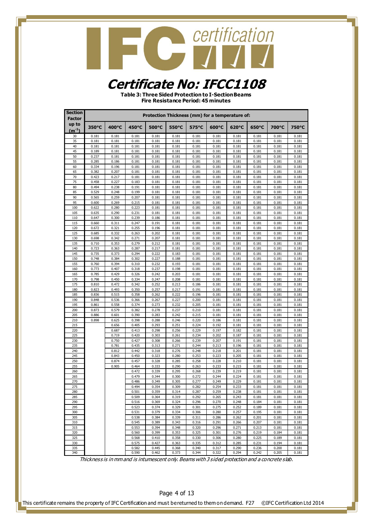### **CONTRACTE CONTRACTES**

#### **Certificate No: IFCC1108**

**Table 3: Three Sided Protection to I-Section Beams Fire Resistance Period: 45 minutes**

| <b>Section</b><br><b>Factor</b> |                | Protection Thickness (mm) for a temperature of:<br>400°C<br>450°C<br>700°C<br>500°C<br>575°C<br>600°C<br>620°C<br>650°C<br>750°C |                |                |                |                |                |                |                |                     |                |  |  |  |
|---------------------------------|----------------|----------------------------------------------------------------------------------------------------------------------------------|----------------|----------------|----------------|----------------|----------------|----------------|----------------|---------------------|----------------|--|--|--|
| up to<br>$(m^{-1})$             | 350°C          |                                                                                                                                  |                |                | 550°C          |                |                |                |                |                     |                |  |  |  |
| 30                              | 0.181          | 0.181                                                                                                                            | 0.181          | 0.181          | 0.181          | 0.181          | 0.181          | 0.181          | 0.181          | 0.181               | 0.181          |  |  |  |
| 35                              | 0.181          | 0.181                                                                                                                            | 0.181          | 0.181          | 0.181          | 0.181          | 0.181          | 0.181          | 0.181          | 0.181               | 0.181          |  |  |  |
| 40                              | 0.181          | 0.181                                                                                                                            | 0.181          | 0.181          | 0.181          | 0.181          | 0.181          | 0.181          | 0.181          | 0.181               | 0.181          |  |  |  |
| 45<br>50                        | 0.189<br>0.237 | 0.181<br>0.181                                                                                                                   | 0.181<br>0.181 | 0.181<br>0.181 | 0.181<br>0.181 | 0.181<br>0.181 | 0.181<br>0.181 | 0.181<br>0.181 | 0.181<br>0.181 | 0.181<br>0.181      | 0.181<br>0.181 |  |  |  |
| 55                              | 0.285          | 0.186                                                                                                                            | 0.181          | 0.181          | 0.181          | 0.181          | 0.181          | 0.181          | 0.181          | 0.181               | 0.181          |  |  |  |
| 60                              | 0.334          | 0.196                                                                                                                            | 0.181          | 0.181          | 0.181          | 0.181          | 0.181          | 0.181          | 0.181          | 0.181               | 0.181          |  |  |  |
| 65                              | 0.382          | 0.207                                                                                                                            | 0.181          | 0.181          | 0.181          | 0.181          | 0.181          | 0.181          | 0.181          | 0.181               | 0.181          |  |  |  |
| 70<br>75                        | 0.423<br>0.458 | 0.217<br>0.227                                                                                                                   | 0.181<br>0.183 | 0.181          | 0.181<br>0.181 | 0.181<br>0.181 | 0.181          | 0.181          | 0.181<br>0.181 | 0.181<br>0.181      | 0.181<br>0.181 |  |  |  |
| 80                              | 0.494          | 0.238                                                                                                                            | 0.191          | 0.181<br>0.181 | 0.181          | 0.181          | 0.181<br>0.181 | 0.181<br>0.181 | 0.181          | 0.181               | 0.181          |  |  |  |
| 85                              | 0.529          | 0.248                                                                                                                            | 0.199          | 0.181          | 0.181          | 0.181          | 0.181          | 0.181          | 0.181          | 0.181               | 0.181          |  |  |  |
| 90                              | 0.565          | 0.259                                                                                                                            | 0.207          | 0.181          | 0.181          | 0.181          | 0.181          | 0.181          | 0.181          | 0.181               | 0.181          |  |  |  |
| 95                              | 0.600          | 0.269                                                                                                                            | 0.215          | 0.181          | 0.181          | 0.181          | 0.181          | 0.181          | 0.181          | 0.181               | 0.181          |  |  |  |
| 100<br>105                      | 0.622<br>0.635 | 0.280<br>0.290                                                                                                                   | 0.223<br>0.231 | 0.181<br>0.181 | 0.181<br>0.181 | 0.181<br>0.181 | 0.181<br>0.181 | 0.181<br>0.181 | 0.181<br>0.181 | 0.181<br>0.181      | 0.181<br>0.181 |  |  |  |
| 110                             | 0.647          | 0.300                                                                                                                            | 0.239          | 0.186          | 0.181          | 0.181          | 0.181          | 0.181          | 0.181          | 0.181               | 0.181          |  |  |  |
| 115                             | 0.660          | 0.311                                                                                                                            | 0.247          | 0.191          | 0.181          | 0.181          | 0.181          | 0.181          | 0.181          | 0.181               | 0.181          |  |  |  |
| 120                             | 0.672          | 0.321                                                                                                                            | 0.255          | 0.196          | 0.181          | 0.181          | 0.181          | 0.181          | 0.181          | 0.181               | 0.181          |  |  |  |
| 125                             | 0.685          | 0.332                                                                                                                            | 0.263          | 0.202          | 0.181          | 0.181          | 0.181          | 0.181          | 0.181          | 0.181               | 0.181          |  |  |  |
| 130<br>135                      | 0.698<br>0.710 | 0.342<br>0.353                                                                                                                   | 0.271<br>0.279 | 0.207<br>0.212 | 0.181<br>0.181 | 0.181<br>0.181 | 0.181<br>0.181 | 0.181<br>0.181 | 0.181<br>0.181 | 0.181<br>0.181      | 0.181<br>0.181 |  |  |  |
| 140                             | 0.723          | 0.363                                                                                                                            | 0.287          | 0.217          | 0.181          | 0.181          | 0.181          | 0.181          | 0.181          | 0.181               | 0.181          |  |  |  |
| 145                             | 0.735          | 0.373                                                                                                                            | 0.294          | 0.222          | 0.183          | 0.181          | 0.181          | 0.181          | 0.181          | 0.181               | 0.181          |  |  |  |
| 150                             | 0.748          | 0.384                                                                                                                            | 0.302          | 0.227          | 0.188          | 0.181          | 0.181          | 0.181          | 0.181          | 0.181               | 0.181          |  |  |  |
| 155                             | 0.760          | 0.394                                                                                                                            | 0.310          | 0.232          | 0.193          | 0.181          | 0.181          | 0.181          | 0.181          | 0.181               | 0.181          |  |  |  |
| 160<br>165                      | 0.773<br>0.785 | 0.407<br>0.429                                                                                                                   | 0.318<br>0.326 | 0.237<br>0.242 | 0.198<br>0.203 | 0.181<br>0.181 | 0.181<br>0.181 | 0.181<br>0.181 | 0.181<br>0.181 | 0.181<br>0.181      | 0.181<br>0.181 |  |  |  |
| 170                             | 0.798          | 0.450                                                                                                                            | 0.334          | 0.247          | 0.208          | 0.181          | 0.181          | 0.181          | 0.181          | 0.181               | 0.181          |  |  |  |
| 175                             | 0.810          | 0.472                                                                                                                            | 0.342          | 0.252          | 0.213          | 0.186          | 0.181          | 0.181          | 0.181          | 0.181               | 0.181          |  |  |  |
| 180                             | 0.823          | 0.493                                                                                                                            | 0.350          | 0.257          | 0.217          | 0.191          | 0.181          | 0.181          | 0.181          | 0.181               | 0.181          |  |  |  |
| 185                             | 0.836          | 0.515                                                                                                                            | 0.358          | 0.262          | 0.222          | 0.196          | 0.181          | 0.181          | 0.181          | 0.181               | 0.181<br>0.181 |  |  |  |
| 190<br>195                      | 0.848<br>0.861 | 0.536<br>0.558                                                                                                                   | 0.366<br>0.374 | 0.267<br>0.273 | 0.227<br>0.232 | 0.200<br>0.205 | 0.181<br>0.181 | 0.181<br>0.181 | 0.181<br>0.181 | 0.181<br>0.181      | 0.181          |  |  |  |
| 200                             | 0.873          | 0.579                                                                                                                            | 0.382          | 0.278          | 0.237          | 0.210          | 0.181          | 0.181          | 0.181          | 0.181               | 0.181          |  |  |  |
| 205                             | 0.886          | 0.601                                                                                                                            | 0.390          | 0.283          | 0.242          | 0.215          | 0.181          | 0.181          | 0.181          | 0.181               | 0.181          |  |  |  |
| 210                             | 0.898          | 0.625                                                                                                                            | 0.398          | 0.288          | 0.246          | 0.220          | 0.186          | 0.181          | 0.181          | 0.181               | 0.181          |  |  |  |
| 215<br>220                      |                | 0.656<br>0.687                                                                                                                   | 0.405<br>0.413 | 0.293<br>0.298 | 0.251<br>0.256 | 0.224<br>0.229 | 0.192<br>0.197 | 0.181<br>0.182 | 0.181<br>0.181 | 0.181<br>0.181      | 0.181<br>0.181 |  |  |  |
| 225                             |                | 0.719                                                                                                                            | 0.420          | 0.303          | 0.261          | 0.234          | 0.202          | 0.187          | 0.181          | 0.181               | 0.181          |  |  |  |
| 230                             |                | 0.750                                                                                                                            | 0.427          | 0.308          | 0.266          | 0.239          | 0.207          | 0.191          | 0.181          | 0.181               | 0.181          |  |  |  |
| 235                             |                | 0.781                                                                                                                            | 0.435          | 0.313          | 0.271          | 0.244          | 0.213          | 0.196          | 0.181          | 0.181               | 0.181          |  |  |  |
| 240                             |                | 0.812                                                                                                                            | 0.442          | 0.318          | 0.276          | 0.248          | 0.218          | 0.201          | 0.181          | 0.181               | 0.181          |  |  |  |
| 245<br>250                      |                | 0.843<br>0.874                                                                                                                   | 0.450<br>0.457 | 0.323<br>0.328 | 0.280<br>0.285 | 0.253<br>0.258 | 0.223<br>0.228 | 0.205<br>0.210 | 0.181<br>0.181 | 0.181<br>0.181      | 0.181<br>0.181 |  |  |  |
| 255                             |                | 0.905                                                                                                                            | 0.464          | 0.333          | 0.290          | 0.263          | 0.233          | 0.215          | 0.181          | 0.181               | 0.181          |  |  |  |
| 260                             |                |                                                                                                                                  | 0.472          | 0.339          | 0.295          | 0.268          | 0.239          | 0.219          | 0.181          | 0.181               | 0.181          |  |  |  |
| 265                             |                |                                                                                                                                  | 0.479          | 0.344          | 0.300          | 0.272          | 0.244          | 0.224          | 0.181          | 0.181               | 0.181          |  |  |  |
| 270                             |                |                                                                                                                                  | 0.486          | 0.349          | 0.305          | 0.277          | 0.249          | 0.229          | 0.181          | 0.181               | 0.181          |  |  |  |
| 275<br>280                      |                |                                                                                                                                  | 0.494<br>0.501 | 0.354<br>0.359 | 0.309<br>0.314 | 0.282<br>0.287 | 0.254<br>0.259 | 0.233<br>0.238 | 0.181<br>0.181 | 0.181<br>$_{0.181}$ | 0.181<br>0.181 |  |  |  |
| 285                             |                |                                                                                                                                  | 0.509          | 0.364          | 0.319          | 0.292          | 0.265          | 0.243          | 0.181          | 0.181               | 0.181          |  |  |  |
| 290                             |                |                                                                                                                                  | 0.516          | 0.369          | 0.324          | 0.296          | 0.270          | 0.248          | 0.184          | 0.181               | 0.181          |  |  |  |
| 295                             |                |                                                                                                                                  | 0.523          | 0.374          | 0.329          | 0.301          | 0.275          | 0.252          | 0.189          | 0.181               | 0.181          |  |  |  |
| 300                             |                |                                                                                                                                  | 0.531          | 0.379          | 0.334          | 0.306          | 0.280          | 0.257          | 0.195          | 0.181               | 0.181          |  |  |  |
| 305<br>310                      |                |                                                                                                                                  | 0.538<br>0.545 | 0.384<br>0.389 | 0.339<br>0.343 | 0.311<br>0.316 | 0.286<br>0.291 | 0.262<br>0.266 | 0.201<br>0.207 | 0.181<br>0.181      | 0.181<br>0.181 |  |  |  |
| 315                             |                |                                                                                                                                  | 0.553          | 0.394          | 0.348          | 0.320          | 0.296          | 0.271          | 0.213          | 0.181               | 0.181          |  |  |  |
| 320                             |                |                                                                                                                                  | 0.560          | 0.399          | 0.353          | 0.325          | 0.301          | 0.276          | 0.219          | 0.184               | 0.181          |  |  |  |
| 325                             |                |                                                                                                                                  | 0.568          | 0.410          | 0.358          | 0.330          | 0.306          | 0.280          | 0.225          | 0.189               | 0.181          |  |  |  |
| 330                             |                |                                                                                                                                  | 0.575          | 0.427          | 0.363          | 0.335          | 0.312          | 0.285          | 0.231          | 0.194               | 0.181          |  |  |  |
| 335<br>340                      |                |                                                                                                                                  | 0.582<br>0.590 | 0.445<br>0.462 | 0.368<br>0.373 | 0.340<br>0.344 | 0.317<br>0.322 | 0.290<br>0.294 | 0.236<br>0.242 | 0.200<br>0.205      | 0.181<br>0.181 |  |  |  |

Thickness is in mm and is intumescent only. Beams with 3 sided protection and a concrete slab.

Page 4 of 13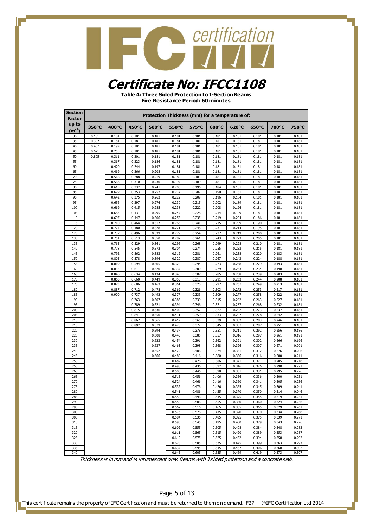### **CONTRACTE CONTRACTES**

#### **Certificate No: IFCC1108**

**Table 4: Three Sided Protection to I-Section Beams Fire Resistance Period: 60 minutes**

| <b>Section</b><br><b>Factor</b> |                |                |                |                |                | Protection Thickness (mm) for a temperature of: |                |                |                |                |                |
|---------------------------------|----------------|----------------|----------------|----------------|----------------|-------------------------------------------------|----------------|----------------|----------------|----------------|----------------|
| up to<br>$(m^{-1})$             | 350°C          | 400°C          | 450°C          | 500°C          | 550°C          | 575°C                                           | 600°C          | 620°C          | 650°C          | 700°C          | 750°C          |
| 30                              | 0.181          | 0.181          | 0.181          | 0.181          | 0.181          | 0.181                                           | 0.181          | 0.181          | 0.181          | 0.181          | 0.181          |
| 35                              | 0.302          | 0.181          | 0.181          | 0.181          | 0.181          | 0.181                                           | 0.181          | 0.181          | 0.181          | 0.181          | 0.181          |
| 40<br>45                        | 0.437<br>0.621 | 0.199<br>0.255 | 0.181<br>0.181 | 0.181<br>0.181 | 0.181<br>0.181 | 0.181<br>0.181                                  | 0.181<br>0.181 | 0.181<br>0.181 | 0.181<br>0.181 | 0.181<br>0.181 | 0.181<br>0.181 |
| 50                              | 0.805          | 0.311          | 0.201          | 0.181          | 0.181          | 0.181                                           | 0.181          | 0.181          | 0.181          | 0.181          | 0.181          |
| 55                              |                | 0.367          | 0.223          | 0.186          | 0.181          | 0.181                                           | 0.181          | 0.181          | 0.181          | 0.181          | 0.181          |
| 60                              |                | 0.420          | 0.244          | 0.197          | 0.181          | 0.181                                           | 0.181          | 0.181          | 0.181          | 0.181          | 0.181          |
| 65                              |                | 0.469          | 0.266          | 0.208          | 0.181          | 0.181                                           | 0.181          | 0.181          | 0.181          | 0.181          | 0.181          |
| 70<br>75                        |                | 0.518<br>0.566 | 0.288<br>0.310 | 0.219<br>0.230 | 0.189<br>0.197 | 0.183<br>0.189                                  | 0.181<br>0.181 | 0.181<br>0.181 | 0.181<br>0.181 | 0.181<br>0.181 | 0.181<br>0.181 |
| 80                              |                | 0.615          | 0.332          | 0.241          | 0.206          | 0.196                                           | 0.184          | 0.181          | 0.181          | 0.181          | 0.181          |
| 85                              |                | 0.629          | 0.353          | 0.252          | 0.214          | 0.202                                           | 0.190          | 0.181          | 0.181          | 0.181          | 0.181          |
| 90                              |                | 0.642          | 0.375          | 0.263          | 0.222          | 0.209                                           | 0.196          | 0.184          | 0.181          | 0.181          | 0.181          |
| 95                              |                | 0.656          | 0.397          | 0.274          | 0.230          | 0.215                                           | 0.202          | 0.189          | 0.181          | 0.181          | 0.181          |
| 100<br>105                      |                | 0.669<br>0.683 | 0.415<br>0.431 | 0.285<br>0.295 | 0.238<br>0.247 | 0.222<br>0.228                                  | 0.208<br>0.214 | 0.194<br>0.199 | 0.181<br>0.181 | 0.181<br>0.181 | 0.181<br>0.181 |
| 110                             |                | 0.697          | 0.447          | 0.306          | 0.255          | 0.235                                           | 0.219          | 0.204          | 0.186          | 0.181          | 0.181          |
| 115                             |                | 0.710          | 0.464          | 0.317          | 0.263          | 0.241                                           | 0.225          | 0.209          | 0.190          | 0.181          | 0.181          |
| 120                             |                | 0.724          | 0.480          | 0.328          | 0.271          | 0.248                                           | 0.231          | 0.214          | 0.195          | 0.181          | 0.181          |
| 125<br>130                      |                | 0.737<br>0.751 | 0.496          | 0.339          | 0.279          | 0.254                                           | 0.237          | 0.219<br>0.223 | 0.200          | 0.181<br>0.181 | 0.181<br>0.181 |
| 135                             |                | 0.765          | 0.513<br>0.529 | 0.350<br>0.361 | 0.287<br>0.296 | 0.261<br>0.268                                  | 0.243<br>0.249 | 0.228          | 0.205<br>0.210 | 0.181          | 0.181          |
| 140                             |                | 0.778          | 0.545          | 0.372          | 0.304          | 0.274                                           | 0.255          | 0.233          | 0.215          | 0.181          | 0.181          |
| 145                             |                | 0.792          | 0.562          | 0.383          | 0.312          | 0.281                                           | 0.261          | 0.238          | 0.220          | 0.183          | 0.181          |
| 150                             |                | 0.805          | 0.578          | 0.394          | 0.320          | 0.287                                           | 0.267          | 0.243          | 0.224          | 0.188          | 0.181          |
| 155                             |                | 0.819<br>0.832 | 0.594<br>0.611 | 0.405<br>0.420 | 0.328<br>0.337 | 0.294<br>0.300                                  | 0.273<br>0.279 | 0.248<br>0.253 | 0.229<br>0.234 | 0.193          | 0.181          |
| 160<br>165                      |                | 0.846          | 0.634          | 0.434          | 0.345          | 0.307                                           | 0.285          | 0.258          | 0.239          | 0.198<br>0.203 | 0.181<br>0.181 |
| 170                             |                | 0.860          | 0.660          | 0.449          | 0.353          | 0.313                                           | 0.291          | 0.263          | 0.244          | 0.208          | 0.181          |
| 175                             |                | 0.873          | 0.686          | 0.463          | 0.361          | 0.320                                           | 0.297          | 0.267          | 0.249          | 0.213          | 0.181          |
| 180                             |                | 0.887          | 0.712          | 0.478          | 0.369          | 0.326                                           | 0.303          | 0.272          | 0.253          | 0.217          | 0.181          |
| 185<br>190                      |                | 0.900          | 0.737<br>0.763 | 0.492<br>0.507 | 0.377<br>0.386 | 0.333<br>0.339                                  | 0.309<br>0.315 | 0.277<br>0.282 | 0.258<br>0.263 | 0.222<br>0.227 | 0.181<br>0.181 |
| 195                             |                |                | 0.789          | 0.521          | 0.394          | 0.346                                           | 0.321          | 0.287          | 0.268          | 0.232          | 0.181          |
| 200                             |                |                | 0.815          | 0.536          | 0.402          | 0.352                                           | 0.327          | 0.292          | 0.273          | 0.237          | 0.181          |
| 205                             |                |                | 0.841          | 0.550          | 0.411          | 0.359                                           | 0.333          | 0.297          | 0.278          | 0.242          | 0.181          |
| 210                             |                |                | 0.867          | 0.565          | 0.419          | 0.365                                           | 0.339          | 0.302          | 0.283          | 0.246          | 0.181          |
| 215<br>220                      |                |                | 0.892          | 0.579<br>0.594 | 0.428<br>0.437 | 0.372<br>0.378                                  | 0.345<br>0.351 | 0.307<br>0.311 | 0.287<br>0.292 | 0.251<br>0.256 | 0.181<br>0.186 |
| 225                             |                |                |                | 0.608          | 0.445          | 0.385                                           | 0.357          | 0.316          | 0.297          | 0.261          | 0.191          |
| 230                             |                |                |                | 0.623          | 0.454          | 0.391                                           | 0.362          | 0.321          | 0.302          | 0.266          | 0.196          |
| 235                             |                |                |                | 0.637          | 0.463          | 0.398                                           | 0.368          | 0.326          | 0.307          | 0.271          | 0.201          |
| 240                             |                |                |                | 0.652          | 0.472          | 0.406                                           | 0.374          | 0.331          | 0.312          | 0.276          | 0.206          |
| 245<br>250                      |                |                |                | 0.666          | 0.480<br>0.489 | 0.416<br>0.426                                  | 0.380<br>0.386 | 0.336<br>0.341 | 0.316<br>0.321 | 0.280<br>0.285 | 0.211<br>0.216 |
| 255                             |                |                |                |                | 0.498          | 0.436                                           | 0.392          | 0.346          | 0.326          | 0.290          | 0.221          |
| 260                             |                |                |                |                | 0.506          | 0.446                                           | 0.398          | 0.351          | 0.331          | 0.295          | 0.226          |
| 265                             |                |                |                |                | 0.515          | 0.456                                           | 0.406          | 0.356          | 0.336          | 0.300          | 0.231          |
| 270<br>275                      |                |                |                |                | 0.524          | 0.466<br>0.476                                  | 0.416<br>0.426 | 0.360          | 0.341          | 0.305<br>0.309 | 0.236<br>0.241 |
| 280                             |                |                |                |                | 0.532<br>0.541 | 0.486                                           | 0.435          | 0.365<br>0.370 | 0.345<br>0.350 | 0.314          | 0.246          |
| 285                             |                |                |                |                | 0.550          | 0.496                                           | 0.445          | 0.375          | 0.355          | 0.319          | 0.251          |
| 290                             |                |                |                |                | 0.558          | 0.506                                           | 0.455          | 0.380          | 0.360          | 0.324          | 0.256          |
| 295                             |                |                |                |                | 0.567          | 0.516                                           | 0.465          | 0.385          | 0.365          | 0.329          | 0.261          |
| 300                             |                |                |                |                | 0.576          | 0.526                                           | 0.475          | 0.390          | 0.370          | 0.334          | 0.266<br>0.271 |
| 305<br>310                      |                |                |                |                | 0.584<br>0.593 | 0.536<br>0.545                                  | 0.485<br>0.495 | 0.395<br>0.400 | 0.375<br>0.379 | 0.339<br>0.343 | 0.276          |
| 315                             |                |                |                |                | 0.602          | 0.555                                           | 0.505          | 0.408          | 0.384          | 0.348          | 0.282          |
| 320                             |                |                |                |                | 0.611          | 0.565                                           | 0.515          | 0.420          | 0.389          | 0.353          | 0.287          |
| 325                             |                |                |                |                | 0.619          | 0.575                                           | 0.525          | 0.432          | 0.394          | 0.358          | 0.292          |
| 330                             |                |                |                |                | 0.628          | 0.585                                           | 0.535          | 0.445          | 0.399          | 0.363          | 0.297          |
| 335<br>340                      |                |                |                |                | 0.637<br>0.645 | 0.595<br>0.605                                  | 0.545<br>0.555 | 0.457<br>0.469 | 0.406<br>0.419 | 0.368<br>0.373 | 0.302<br>0.307 |

Thickness is in mm and is intumescent only. Beams with 3 sided protection and a concrete slab.

Page 5 of 13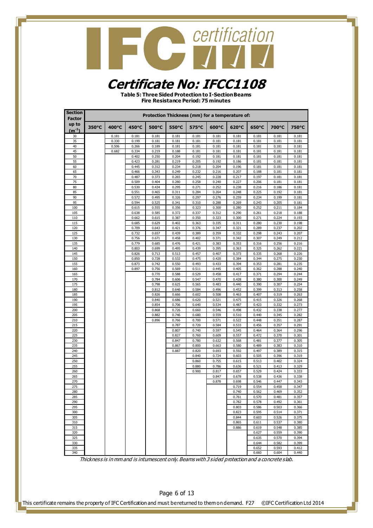### **CONTRACTE CONTRACTES**

#### **Certificate No: IFCC1108**

**Table 5: Three Sided Protection to I-Section Beams Fire Resistance Period: 75 minutes**

| <b>Section</b><br><b>Factor</b> |       |       |                |                |                | Protection Thickness (mm) for a temperature of: |                |                |                |                |                |
|---------------------------------|-------|-------|----------------|----------------|----------------|-------------------------------------------------|----------------|----------------|----------------|----------------|----------------|
| up to<br>$(m^{-1})$             | 350°C | 400°C | 450°C          | 500°C          | 550°C          | 575°C                                           | 600°C          | 620°C          | 650°C          | 700°C          | 750°C          |
| 30                              |       | 0.181 | 0.181          | 0.181          | 0.181          | 0.181                                           | 0.181          | 0.181          | 0.181          | 0.181          | 0.181          |
| 35                              |       | 0.330 | 0.199          | 0.181          | 0.181          | 0.181                                           | 0.181          | 0.181          | 0.181          | 0.181          | 0.181          |
| 40                              |       | 0.506 | 0.266          | 0.189          | 0.181          | 0.181                                           | 0.181          | 0.181          | 0.181          | 0.181          | 0.181          |
| 45<br>50                        |       | 0.682 | 0.334<br>0.402 | 0.219<br>0.250 | 0.188<br>0.204 | 0.181<br>0.192                                  | 0.181<br>0.181 | 0.181<br>0.181 | 0.181<br>0.181 | 0.181<br>0.181 | 0.181<br>0.181 |
| 55                              |       |       | 0.423          | 0.281          | 0.219          | 0.205                                           | 0.192          | 0.186          | 0.181          | 0.181          | 0.181          |
| 60                              |       |       | 0.445          | 0.312          | 0.234          | 0.218                                           | 0.204          | 0.196          | 0.181          | 0.181          | 0.181          |
| 65                              |       |       | 0.466          | 0.343          | 0.249          | 0.232                                           | 0.216          | 0.207          | 0.188          | 0.181          | 0.181          |
| 70                              |       |       | 0.487          | 0.373          | 0.265          | 0.245                                           | 0.228          | 0.217          | 0.197          | 0.181          | 0.181          |
| 75<br>80                        |       |       | 0.509<br>0.530 | 0.404<br>0.434 | 0.280<br>0.295 | 0.258<br>0.271                                  | 0.240<br>0.252 | 0.227<br>0.238 | 0.206<br>0.216 | 0.181<br>0.186 | 0.181<br>0.181 |
| 85                              |       |       | 0.551          | 0.465          | 0.311          | 0.284                                           | 0.264          | 0.248          | 0.225          | 0.192          | 0.181          |
| 90                              |       |       | 0.572          | 0.495          | 0.326          | 0.297                                           | 0.276          | 0.259          | 0.234          | 0.199          | 0.181          |
| 95                              |       |       | 0.594          | 0.525          | 0.341          | 0.310                                           | 0.288          | 0.269          | 0.243          | 0.205          | 0.181          |
| 100                             |       |       | 0.615          | 0.555          | 0.356          | 0.323                                           | 0.300          | 0.280          | 0.252          | 0.211          | 0.184          |
| 105<br>110                      |       |       | 0.638<br>0.662 | 0.585<br>0.615 | 0.372<br>0.387 | 0.337<br>0.350                                  | 0.312<br>0.323 | 0.290<br>0.300 | 0.261<br>0.271 | 0.218<br>0.224 | 0.188<br>0.193 |
| 115                             |       |       | 0.685          | 0.629          | 0.402          | 0.363                                           | 0.335          | 0.311          | 0.280          | 0.230          | 0.198          |
| 120                             |       |       | 0.709          | 0.643          | 0.421          | 0.376                                           | 0.347          | 0.321          | 0.289          | 0.237          | 0.202          |
| 125                             |       |       | 0.732          | 0.657          | 0.439          | 0.389                                           | 0.359          | 0.332          | 0.298          | 0.243          | 0.207          |
| 130                             |       |       | 0.756          | 0.671          | 0.458          | 0.402                                           | 0.371          | 0.342          | 0.307          | 0.249          | 0.212          |
| 135                             |       |       | 0.779          | 0.685          | 0.476          | 0.421                                           | 0.383          | 0.353          | 0.316          | 0.256          | 0.216          |
| 140<br>145                      |       |       | 0.803<br>0.826 | 0.699<br>0.713 | 0.495<br>0.513 | 0.439<br>0.457                                  | 0.395<br>0.407 | 0.363<br>0.373 | 0.325<br>0.335 | 0.262<br>0.268 | 0.221<br>0.226 |
| 150                             |       |       | 0.850          | 0.728          | 0.532          | 0.475                                           | 0.420          | 0.384          | 0.344          | 0.275          | 0.230          |
| 155                             |       |       | 0.873          | 0.742          | 0.550          | 0.493                                           | 0.433          | 0.394          | 0.353          | 0.281          | 0.235          |
| 160                             |       |       | 0.897          | 0.756          | 0.569          | 0.511                                           | 0.445          | 0.405          | 0.362          | 0.288          | 0.240          |
| 165                             |       |       |                | 0.770          | 0.588          | 0.529                                           | 0.458          | 0.417          | 0.371          | 0.294          | 0.244          |
| 170<br>175                      |       |       |                | 0.784<br>0.798 | 0.606<br>0.625 | 0.547<br>0.565                                  | 0.470<br>0.483 | 0.428<br>0.440 | 0.380<br>0.390 | 0.300<br>0.307 | 0.249<br>0.254 |
| 180                             |       |       |                | 0.812          | 0.646          | 0.584                                           | 0.496          | 0.452          | 0.399          | 0.313          | 0.258          |
| 185                             |       |       |                | 0.826          | 0.666          | 0.602                                           | 0.508          | 0.463          | 0.407          | 0.319          | 0.263          |
| 190                             |       |       |                | 0.840          | 0.686          | 0.620                                           | 0.521          | 0.475          | 0.415          | 0.326          | 0.268          |
| 195                             |       |       |                | 0.854          | 0.706          | 0.640                                           | 0.534          | 0.487          | 0.423          | 0.332          | 0.273          |
| 200<br>205                      |       |       |                | 0.868<br>0.882 | 0.726<br>0.746 | 0.660<br>0.680                                  | 0.546<br>0.559 | 0.498<br>0.510 | 0.432<br>0.440 | 0.338<br>0.345 | 0.277<br>0.282 |
| 210                             |       |       |                | 0.896          | 0.766          | 0.700                                           | 0.571          | 0.522          | 0.448          | 0.351          | 0.287          |
| 215                             |       |       |                |                | 0.787          | 0.720                                           | 0.584          | 0.533          | 0.456          | 0.357          | 0.291          |
| 220                             |       |       |                |                | 0.807          | 0.740                                           | 0.597          | 0.545          | 0.464          | 0.364          | 0.296          |
| 225                             |       |       |                |                | 0.827          | 0.760                                           | 0.609          | 0.557          | 0.472          | 0.370          | 0.301          |
| 230<br>235                      |       |       |                |                | 0.847<br>0.867 | 0.780<br>0.800                                  | 0.632<br>0.663 | 0.568<br>0.580 | 0.481<br>0.489 | 0.377<br>0.383 | 0.305<br>0.310 |
| 240                             |       |       |                |                | 0.887          | 0.820                                           | 0.693          | 0.592          | 0.497          | 0.389          | 0.315          |
| 245                             |       |       |                |                |                | 0.840                                           | 0.724          | 0.603          | 0.505          | 0.396          | 0.319          |
| 250                             |       |       |                |                |                | 0.860                                           | 0.755          | 0.615          | 0.513          | 0.402          | 0.324          |
| 255                             |       |       |                |                |                | 0.880                                           | 0.786          | 0.636          | 0.521          | 0.413          | 0.329          |
| 260                             |       |       |                |                |                | 0.900                                           | 0.817          | 0.657          | 0.529          | 0.424          | 0.333          |
| 265<br>270                      |       |       |                |                |                |                                                 | 0.847<br>0.878 | 0.678<br>0.698 | 0.538<br>0.546 | 0.436<br>0.447 | 0.338<br>0.343 |
| 275                             |       |       |                |                |                |                                                 |                | 0.719          | 0.554          | 0.458          | 0.347          |
| 280                             |       |       |                |                |                |                                                 |                | 0.740          | 0.562          | 0.469          | 0.352          |
| 285                             |       |       |                |                |                |                                                 |                | 0.761          | 0.570          | 0.481          | 0.357          |
| 290                             |       |       |                |                |                |                                                 |                | 0.782          | 0.578          | 0.492          | 0.361          |
| 295<br>300                      |       |       |                |                |                |                                                 |                | 0.803<br>0.823 | 0.586<br>0.595 | 0.503<br>0.514 | 0.366<br>0.371 |
| 305                             |       |       |                |                |                |                                                 |                | 0.844          | 0.603          | 0.526          | 0.375          |
| 310                             |       |       |                |                |                |                                                 |                | 0.865          | 0.611          | 0.537          | 0.380          |
| 315                             |       |       |                |                |                |                                                 |                | 0.886          | 0.619          | 0.548          | 0.385          |
| 320                             |       |       |                |                |                |                                                 |                |                | 0.627          | 0.559          | 0.390          |
| 325<br>330                      |       |       |                |                |                |                                                 |                |                | 0.635<br>0.644 | 0.570<br>0.582 | 0.394<br>0.399 |
| 335                             |       |       |                |                |                |                                                 |                |                | 0.652          | 0.593          | 0.412          |
| 340                             |       |       |                |                |                |                                                 |                |                | 0.660          | 0.604          | 0.440          |

Thickness is in mm and is intumescent only. Beams with 3 sided protection and a concrete slab.

#### Page 6 of 13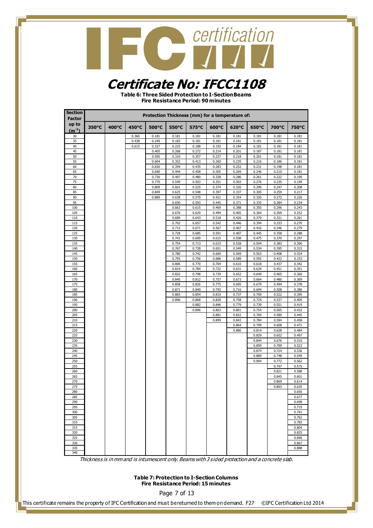#### **Certificate No: IFCC1108**

**Table 6: Three Sided Protection to I-Section Beams Fire Resistance Period: 90 minutes**

| <b>Section</b><br><b>Factor</b> |       |       |       |                |                | Protection Thickness (mm) for a temperature of: |                |                |                |                |                |
|---------------------------------|-------|-------|-------|----------------|----------------|-------------------------------------------------|----------------|----------------|----------------|----------------|----------------|
| up to<br>$(m^{-1})$             | 350°C | 400°C | 450°C | 500°C          | 550°C          | 575°C                                           | 600°C          | 620°C          | 650°C          | 700°C          | 750°C          |
| 30                              |       |       | 0.360 | 0.181          | 0.181          | 0.181                                           | 0.181          | 0.181          | 0.181          | 0.181          | 0.181          |
| 35                              |       |       | 0.438 | 0.249          | 0.183          | 0.181                                           | 0.181          | 0.181          | 0.181          | 0.181          | 0.181          |
| 40                              |       |       | 0.615 | 0.327          | 0.225          | 0.188                                           | 0.192          | 0.184          | 0.181          | 0.181          | 0.181          |
| 45                              |       |       |       | 0.405          | 0.268          | 0.272                                           | 0.214          | 0.201          | 0.187          | 0.181          | 0.181          |
| 50<br>55                        |       |       |       | 0.505<br>0.604 | 0.310<br>0.352 | 0.357<br>0.413                                  | 0.237<br>0.260 | 0.218<br>0.235 | 0.201<br>0.216 | 0.181<br>0.186 | 0.181<br>0.181 |
| 60                              |       |       |       | 0.650          | 0.394          | 0.435                                           | 0.283          | 0.252          | 0.231          | 0.198          | 0.181          |
| 65                              |       |       |       | 0.690          | 0.444          | 0.458                                           | 0.305          | 0.269          | 0.246          | 0.210          | 0.181          |
| 70                              |       |       |       | 0.730          | 0.497          | 0.480                                           | 0.328          | 0.286          | 0.261          | 0.222          | 0.190          |
| 75                              |       |       |       | 0.770          | 0.549          | 0.503                                           | 0.351          | 0.303          | 0.276          | 0.235          | 0.199          |
| 80<br>85                        |       |       |       | 0.809<br>0.849 | 0.601<br>0.625 | 0.525<br>0.548                                  | 0.374<br>0.397 | 0.320<br>0.337 | 0.290<br>0.305 | 0.247<br>0.259 | 0.208<br>0.217 |
| 90                              |       |       |       | 0.889          | 0.638          | 0.570                                           | 0.421          | 0.354          | 0.320          | 0.272          | 0.226          |
| 95                              |       |       |       |                | 0.650          | 0.593                                           | 0.445          | 0.371          | 0.335          | 0.284          | 0.234          |
| 100                             |       |       |       |                | 0.663          | 0.615                                           | 0.469          | 0.388          | 0.350          | 0.296          | 0.243          |
| 105                             |       |       |       |                | 0.676          | 0.629                                           | 0.494          | 0.405          | 0.364          | 0.309          | 0.252          |
| 110<br>115                      |       |       |       |                | 0.689<br>0.702 | 0.643<br>0.657                                  | 0.518<br>0.542 | 0.426<br>0.446 | 0.379<br>0.394 | 0.321<br>0.333 | 0.261<br>0.270 |
| 120                             |       |       |       |                | 0.715          | 0.671                                           | 0.567          | 0.467          | 0.416          | 0.346          | 0.279          |
| 125                             |       |       |       |                | 0.728          | 0.685                                           | 0.591          | 0.487          | 0.445          | 0.358          | 0.288          |
| 130                             |       |       |       |                | 0.741          | 0.699                                           | 0.615          | 0.508          | 0.475          | 0.370          | 0.297          |
| 135                             |       |       |       |                | 0.754          | 0.713                                           | 0.633          | 0.528          | 0.504          | 0.383          | 0.306          |
| 140                             |       |       |       |                | 0.767          | 0.728                                           | 0.651          | 0.549          | 0.534          | 0.395          | 0.315          |
| 145<br>150                      |       |       |       |                | 0.780<br>0.793 | 0.742<br>0.756                                  | 0.669<br>0.686 | 0.569<br>0.589 | 0.563<br>0.592 | 0.408<br>0.422 | 0.324<br>0.333 |
| 155                             |       |       |       |                | 0.806          | 0.770                                           | 0.704          | 0.610          | 0.618          | 0.437          | 0.342          |
| 160                             |       |       |       |                | 0.819          | 0.784                                           | 0.722          | 0.631          | 0.634          | 0.451          | 0.351          |
| 165                             |       |       |       |                | 0.832          | 0.798                                           | 0.739          | 0.652          | 0.649          | 0.465          | 0.360          |
| 170                             |       |       |       |                | 0.845          | 0.812                                           | 0.757          | 0.673          | 0.664          | 0.480          | 0.369          |
| 175<br>180                      |       |       |       |                | 0.858<br>0.871 | 0.826<br>0.840                                  | 0.775<br>0.792 | 0.695<br>0.716 | 0.679<br>0.694 | 0.494<br>0.508 | 0.378<br>0.386 |
| 185                             |       |       |       |                | 0.883          | 0.854                                           | 0.810          | 0.737          | 0.709          | 0.522          | 0.395          |
| 190                             |       |       |       |                | 0.896          | 0.868                                           | 0.828          | 0.758          | 0.724          | 0.537          | 0.405          |
| 195                             |       |       |       |                |                | 0.882                                           | 0.846          | 0.779          | 0.739          | 0.551          | 0.419          |
| 200                             |       |       |       |                |                | 0.896                                           | 0.863          | 0.801          | 0.754          | 0.565          | 0.432          |
| 205<br>210                      |       |       |       |                |                |                                                 | 0.881<br>0.899 | 0.822<br>0.843 | 0.769<br>0.784 | 0.580<br>0.594 | 0.445<br>0.458 |
| 215                             |       |       |       |                |                |                                                 |                | 0.864          | 0.799          | 0.608          | 0.471          |
| 220                             |       |       |       |                |                |                                                 |                | 0.886          | 0.814          | 0.628          | 0.484          |
| 225                             |       |       |       |                |                |                                                 |                |                | 0.829          | 0.652          | 0.497          |
| 230                             |       |       |       |                |                |                                                 |                |                | 0.844          | 0.676          | 0.510          |
| 235<br>240                      |       |       |       |                |                |                                                 |                |                | 0.859<br>0.874 | 0.700<br>0.724 | 0.523<br>0.536 |
| 245                             |       |       |       |                |                |                                                 |                |                | 0.889          | 0.748          | 0.549          |
| 250                             |       |       |       |                |                |                                                 |                |                | 0.904          | 0.772          | 0.562          |
| 255                             |       |       |       |                |                |                                                 |                |                |                | 0.797          | 0.575          |
| 260                             |       |       |       |                |                |                                                 |                |                |                | 0.821          | 0.588          |
| 265                             |       |       |       |                |                |                                                 |                |                |                | 0.845          | 0.601          |
| 270<br>275                      |       |       |       |                |                |                                                 |                |                |                | 0.869<br>0.893 | 0.614<br>0.635 |
| 280                             |       |       |       |                |                |                                                 |                |                |                |                | 0.656          |
| 285                             |       |       |       |                |                |                                                 |                |                |                |                | 0.677          |
| 290                             |       |       |       |                |                |                                                 |                |                |                |                | 0.698          |
| 295                             |       |       |       |                |                |                                                 |                |                |                |                | 0.719          |
| 300<br>305                      |       |       |       |                |                |                                                 |                |                |                |                | 0.741<br>0.762 |
| 310                             |       |       |       |                |                |                                                 |                |                |                |                | 0.783          |
| 315                             |       |       |       |                |                |                                                 |                |                |                |                | 0.804          |
| 320                             |       |       |       |                |                |                                                 |                |                |                |                | 0.825          |
| 325                             |       |       |       |                |                |                                                 |                |                |                |                | 0.846          |
| 330                             |       |       |       |                |                |                                                 |                |                |                |                | 0.867          |
| 335<br>340                      |       |       |       |                |                |                                                 |                |                |                |                | 0.888          |

Thickness is in mm and is intumescent only. Beams with 3 sided protection and a concrete slab.

**Table 7: Protection to I-Section Columns Fire Resistance Period: 15 minutes**

Page 7 of 13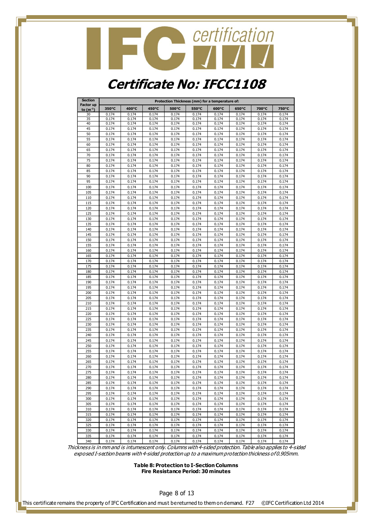### Contification **Certificate No: IFCC1108**

| <b>Section</b>                    |                |                |                |                | Protection Thickness (mm) for a temperature of: |                |                |                |                |
|-----------------------------------|----------------|----------------|----------------|----------------|-------------------------------------------------|----------------|----------------|----------------|----------------|
| <b>Factor up</b><br>to $(m^{-1})$ | 350°C          | 400°C          | 450°C          | 500°C          | 550°C                                           | 600°C          | 650°C          | 700°C          | 750°C          |
| 30                                | 0.174          | 0.174          | 0.174          | 0.174          | 0.174                                           | 0.174          | 0.174          | 0.174          | 0.174          |
| 35                                | 0.174          | 0.174          | 0.174          | 0.174          | 0.174                                           | 0.174          | 0.174          | 0.174          | 0.174          |
| 40                                | 0.174          | 0.174          | 0.174          | 0.174          | 0.174                                           | 0.174          | 0.174          | 0.174          | 0.174          |
| 45                                | 0.174          | 0.174          | 0.174          | 0.174          | 0.174                                           | 0.174          | 0.174          | 0.174          | 0.174          |
| 50<br>55                          | 0.174<br>0.174 | 0.174<br>0.174 | 0.174<br>0.174 | 0.174<br>0.174 | 0.174<br>0.174                                  | 0.174<br>0.174 | 0.174<br>0.174 | 0.174<br>0.174 | 0.174<br>0.174 |
| 60                                | 0.174          | 0.174          | 0.174          | 0.174          | 0.174                                           | 0.174          | 0.174          | 0.174          | 0.174          |
| 65                                | 0.174          | 0.174          | 0.174          | 0.174          | 0.174                                           | 0.174          | 0.174          | 0.174          | 0.174          |
| 70                                | 0.174          | 0.174          | 0.174          | 0.174          | 0.174                                           | 0.174          | 0.174          | 0.174          | 0.174          |
| 75                                | 0.174          | 0.174          | 0.174          | 0.174          | 0.174                                           | 0.174          | 0.174          | 0.174          | 0.174          |
| 80                                | 0.174          | 0.174          | 0.174          | 0.174          | 0.174                                           | 0.174          | 0.174          | 0.174          | 0.174          |
| 85                                | 0.174          | 0.174          | 0.174          | 0.174          | 0.174                                           | 0.174          | 0.174          | 0.174          | 0.174          |
| 90                                | 0.174          | 0.174          | 0.174          | 0.174          | 0.174                                           | 0.174          | 0.174          | 0.174          | 0.174          |
| 95                                | 0.174          | 0.174          | 0.174          | 0.174          | 0.174                                           | 0.174          | 0.174          | 0.174          | 0.174          |
| 100                               | 0.174          | 0.174          | 0.174          | 0.174          | 0.174                                           | 0.174          | 0.174          | 0.174          | 0.174          |
| 105                               | 0.174          | 0.174          | 0.174          | 0.174          | 0.174                                           | 0.174          | 0.174          | 0.174          | 0.174          |
| 110                               | 0.174          | 0.174          | 0.174          | 0.174          | 0.174                                           | 0.174          | 0.174          | 0.174          | 0.174          |
| 115<br>120                        | 0.174<br>0.174 | 0.174<br>0.174 | 0.174<br>0.174 | 0.174<br>0.174 | 0.174<br>0.174                                  | 0.174<br>0.174 | 0.174<br>0.174 | 0.174<br>0.174 | 0.174<br>0.174 |
| 125                               | 0.174          | 0.174          | 0.174          | 0.174          | 0.174                                           | 0.174          | 0.174          | 0.174          | 0.174          |
| 130                               | 0.174          | 0.174          | 0.174          | 0.174          | 0.174                                           | 0.174          | 0.174          | 0.174          | 0.174          |
| 135                               | 0.174          | 0.174          | 0.174          | 0.174          | 0.174                                           | 0.174          | 0.174          | 0.174          | 0.174          |
| 140                               | 0.174          | 0.174          | 0.174          | 0.174          | 0.174                                           | 0.174          | 0.174          | 0.174          | 0.174          |
| 145                               | 0.174          | 0.174          | 0.174          | 0.174          | 0.174                                           | 0.174          | 0.174          | 0.174          | 0.174          |
| 150                               | 0.174          | 0.174          | 0.174          | 0.174          | 0.174                                           | 0.174          | 0.174          | 0.174          | 0.174          |
| 155                               | 0.174          | 0.174          | 0.174          | 0.174          | 0.174                                           | 0.174          | 0.174          | 0.174          | 0.174          |
| 160                               | 0.174          | 0.174          | 0.174          | 0.174          | 0.174                                           | 0.174          | 0.174          | 0.174          | 0.174          |
| 165                               | 0.174          | 0.174          | 0.174          | 0.174          | 0.174                                           | 0.174          | 0.174          | 0.174          | 0.174          |
| 170                               | 0.174          | 0.174          | 0.174          | 0.174          | 0.174                                           | 0.174          | 0.174          | 0.174          | 0.174          |
| 175                               | 0.174          | 0.174          | 0.174          | 0.174          | 0.174                                           | 0.174          | 0.174          | 0.174          | 0.174          |
| 180                               | 0.174          | 0.174          | 0.174          | 0.174          | 0.174                                           | 0.174          | 0.174          | 0.174          | 0.174          |
| 185<br>190                        | 0.174<br>0.174 | 0.174<br>0.174 | 0.174<br>0.174 | 0.174<br>0.174 | 0.174<br>0.174                                  | 0.174<br>0.174 | 0.174<br>0.174 | 0.174<br>0.174 | 0.174<br>0.174 |
| 195                               | 0.174          | 0.174          | 0.174          | 0.174          | 0.174                                           | 0.174          | 0.174          | 0.174          | 0.174          |
| 200                               | 0.174          | 0.174          | 0.174          | 0.174          | 0.174                                           | 0.174          | 0.174          | 0.174          | 0.174          |
| 205                               | 0.174          | 0.174          | 0.174          | 0.174          | 0.174                                           | 0.174          | 0.174          | 0.174          | 0.174          |
| 210                               | 0.174          | 0.174          | 0.174          | 0.174          | 0.174                                           | 0.174          | 0.174          | 0.174          | 0.174          |
| 215                               | 0.174          | 0.174          | 0.174          | 0.174          | 0.174                                           | 0.174          | 0.174          | 0.174          | 0.174          |
| 220                               | 0.174          | 0.174          | 0.174          | 0.174          | 0.174                                           | 0.174          | 0.174          | 0.174          | 0.174          |
| 225                               | 0.174          | 0.174          | 0.174          | 0.174          | 0.174                                           | 0.174          | 0.174          | 0.174          | 0.174          |
| 230                               | 0.174          | 0.174          | 0.174          | 0.174          | 0.174                                           | 0.174          | 0.174          | 0.174          | 0.174          |
| 235                               | 0.174          | 0.174          | 0.174          | 0.174          | 0.174                                           | 0.174          | 0.174          | 0.174          | 0.174          |
| 240                               | 0.174          | 0.174          | 0.174          | 0.174          | 0.174                                           | 0.174          | 0.174          | 0.174          | 0.174          |
| 245                               | 0.174          | 0.174          | 0.174          | 0.174          | 0.174                                           | 0.174          | 0.174          | 0.174<br>0.174 | 0.174          |
| 250                               | 0.174<br>0.174 | 0.174<br>0.174 | 0.174<br>0.174 | 0.174<br>0.174 | 0.174<br>0.174                                  | 0.174<br>0.174 | 0.174<br>0.174 | 0.174          | 0.174          |
| 255<br>260                        | 0.174          | 0.174          | 0.174          | 0.174          | 0.174                                           | 0.174          | 0.174          | 0.174          | 0.174<br>0.174 |
| 265                               | 0.174          | 0.174          | 0.174          | 0.174          | 0.174                                           | 0.174          | 0.174          | 0.174          | 0.174          |
| 270                               | 0.174          | 0.174          | 0.174          | 0.174          | 0.174                                           | 0.174          | 0.174          | 0.174          | 0.174          |
| 275                               | 0.174          | 0.174          | 0.174          | 0.174          | 0.174                                           | 0.174          | 0.174          | 0.174          | 0.174          |
| 280                               | 0.174          | 0.174          | 0.174          | 0.174          | 0.174                                           | 0.174          | 0.174          | 0.174          | 0.174          |
| 285                               | 0.174          | 0.174          | 0.174          | 0.174          | 0.174                                           | 0.174          | 0.174          | 0.174          | 0.174          |
| 290                               | 0.174          | 0.174          | 0.174          | 0.174          | 0.174                                           | 0.174          | 0.174          | 0.174          | 0.174          |
| 295                               | 0.174          | 0.174          | 0.174          | 0.174          | 0.174                                           | 0.174          | 0.174          | 0.174          | 0.174          |
| 300                               | 0.174          | 0.174          | 0.174          | 0.174          | 0.174                                           | 0.174          | 0.174          | 0.174          | 0.174          |
| 305                               | 0.174          | 0.174          | 0.174          | 0.174          | 0.174                                           | 0.174          | 0.174          | 0.174          | 0.174          |
| 310                               | 0.174          | 0.174          | 0.174          | 0.174          | 0.174                                           | 0.174          | 0.174          | 0.174          | 0.174          |
| 315                               | 0.174          | 0.174          | 0.174          | 0.174          | 0.174                                           | 0.174          | 0.174          | 0.174          | 0.174          |
| 320<br>325                        | 0.174<br>0.174 | 0.174<br>0.174 | 0.174<br>0.174 | 0.174<br>0.174 | 0.174<br>0.174                                  | 0.174<br>0.174 | 0.174<br>0.174 | 0.174<br>0.174 | 0.174<br>0.174 |
| 330                               | 0.174          | 0.174          | 0.174          | 0.174          | 0.174                                           | 0.174          | 0.174          | 0.174          | 0.174          |
| 335                               | 0.174          | 0.174          | 0.174          | 0.174          | 0.174                                           | 0.174          | 0.174          | 0.174          | 0.174          |
| 340                               | 0.174          | 0.174          | 0.174          | 0.174          | 0.174                                           | 0.174          | 0.174          | 0.174          | 0.174          |
|                                   |                |                |                |                |                                                 |                |                |                |                |

Thickness is in mm and is intumescent only. Columns with 4-sided protection. Table also applies to 4-sided exposed I-section beams with 4-sided protection up to a maximum protection thickness of 0.905mm.

> **Table 8: Protection to I-Section Columns Fire Resistance Period: 30 minutes**

> > Page 8 of 13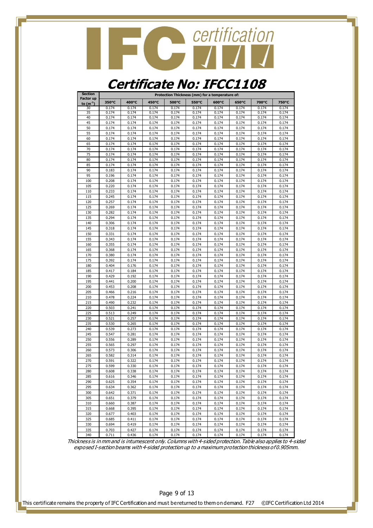

#### **Certificate No: IFCC1108**

| <b>Section</b>             |       |       |       |       | Protection Thickness (mm) for a temperature of: |       |       |       |       |
|----------------------------|-------|-------|-------|-------|-------------------------------------------------|-------|-------|-------|-------|
| Factor up<br>to $(m^{-1})$ | 350°C | 400°C | 450°C | 500°C | 550°C                                           | 600°C | 650°C | 700°C | 750°C |
| 30                         | 0.174 | 0.174 | 0.174 | 0.174 | 0.174                                           | 0.174 | 0.174 | 0.174 | 0.174 |
| 35                         | 0.174 | 0.174 | 0.174 | 0.174 | 0.174                                           | 0.174 | 0.174 | 0.174 | 0.174 |
| 40                         | 0.174 | 0.174 | 0.174 | 0.174 | 0.174                                           | 0.174 | 0.174 | 0.174 | 0.174 |
| 45                         | 0.174 | 0.174 | 0.174 | 0.174 | 0.174                                           | 0.174 | 0.174 | 0.174 | 0.174 |
| 50                         | 0.174 | 0.174 | 0.174 | 0.174 | 0.174                                           | 0.174 | 0.174 | 0.174 | 0.174 |
| 55                         | 0.174 | 0.174 | 0.174 | 0.174 | 0.174                                           | 0.174 | 0.174 | 0.174 | 0.174 |
| 60                         | 0.174 | 0.174 | 0.174 | 0.174 | 0.174                                           | 0.174 | 0.174 | 0.174 | 0.174 |
| 65                         | 0.174 | 0.174 | 0.174 | 0.174 | 0.174                                           | 0.174 | 0.174 | 0.174 | 0.174 |
| 70                         | 0.174 | 0.174 | 0.174 | 0.174 | 0.174                                           | 0.174 | 0.174 | 0.174 | 0.174 |
| 75                         | 0.174 | 0.174 | 0.174 | 0.174 | 0.174                                           | 0.174 | 0.174 | 0.174 | 0.174 |
| 80                         | 0.174 | 0.174 | 0.174 | 0.174 | 0.174                                           | 0.174 | 0.174 | 0.174 | 0.174 |
| 85                         | 0.174 | 0.174 | 0.174 | 0.174 | 0.174                                           | 0.174 | 0.174 | 0.174 | 0.174 |
| 90                         | 0.183 | 0.174 | 0.174 | 0.174 | 0.174                                           | 0.174 | 0.174 | 0.174 | 0.174 |
| 95                         | 0.196 | 0.174 | 0.174 | 0.174 | 0.174                                           | 0.174 | 0.174 | 0.174 | 0.174 |
| 100                        | 0.208 | 0.174 | 0.174 | 0.174 | 0.174                                           | 0.174 | 0.174 | 0.174 | 0.174 |
| 105                        | 0.220 | 0.174 | 0.174 | 0.174 | 0.174                                           | 0.174 | 0.174 | 0.174 | 0.174 |
| 110                        | 0.233 | 0.174 | 0.174 | 0.174 | 0.174                                           | 0.174 | 0.174 | 0.174 | 0.174 |
| 115                        | 0.245 | 0.174 | 0.174 | 0.174 | 0.174                                           | 0.174 | 0.174 | 0.174 | 0.174 |
| 120                        | 0.257 | 0.174 | 0.174 | 0.174 | 0.174                                           | 0.174 | 0.174 | 0.174 | 0.174 |
| 125                        | 0.269 | 0.174 | 0.174 | 0.174 | 0.174                                           | 0.174 | 0.174 | 0.174 | 0.174 |
| 130                        | 0.282 | 0.174 | 0.174 | 0.174 | 0.174                                           | 0.174 | 0.174 | 0.174 | 0.174 |
| 135                        | 0.294 | 0.174 | 0.174 | 0.174 | 0.174                                           | 0.174 | 0.174 | 0.174 | 0.174 |
| 140                        | 0.306 | 0.174 | 0.174 | 0.174 | 0.174                                           | 0.174 | 0.174 | 0.174 | 0.174 |
| 145                        | 0.318 | 0.174 | 0.174 | 0.174 | 0.174                                           | 0.174 | 0.174 | 0.174 | 0.174 |
| 150                        | 0.331 | 0.174 | 0.174 | 0.174 | 0.174                                           | 0.174 | 0.174 | 0.174 | 0.174 |
| 155                        | 0.343 | 0.174 | 0.174 | 0.174 | 0.174                                           | 0.174 | 0.174 | 0.174 | 0.174 |
| 160                        | 0.355 | 0.174 | 0.174 | 0.174 | 0.174                                           | 0.174 | 0.174 | 0.174 | 0.174 |
| 165                        | 0.368 | 0.174 | 0.174 | 0.174 | 0.174                                           | 0.174 | 0.174 | 0.174 | 0.174 |
| 170                        | 0.380 | 0.174 | 0.174 | 0.174 | 0.174                                           | 0.174 | 0.174 | 0.174 | 0.174 |
| 175                        | 0.392 | 0.174 | 0.174 | 0.174 | 0.174                                           | 0.174 | 0.174 | 0.174 | 0.174 |
| 180                        | 0.404 | 0.176 | 0.174 | 0.174 | 0.174                                           | 0.174 | 0.174 | 0.174 | 0.174 |
| 185                        | 0.417 | 0.184 | 0.174 | 0.174 | 0.174                                           | 0.174 | 0.174 | 0.174 | 0.174 |
| 190                        | 0.429 | 0.192 | 0.174 | 0.174 | 0.174                                           | 0.174 | 0.174 | 0.174 | 0.174 |
| 195                        | 0.441 | 0.200 | 0.174 | 0.174 | 0.174                                           | 0.174 | 0.174 | 0.174 | 0.174 |
| 200                        | 0.453 | 0.208 | 0.174 | 0.174 | 0.174                                           | 0.174 | 0.174 | 0.174 | 0.174 |
| 205                        | 0.466 | 0.216 | 0.174 | 0.174 | 0.174                                           | 0.174 | 0.174 | 0.174 | 0.174 |
| 210                        | 0.478 | 0.224 | 0.174 | 0.174 | 0.174                                           | 0.174 | 0.174 | 0.174 | 0.174 |
| 215                        | 0.490 | 0.232 | 0.174 | 0.174 | 0.174                                           | 0.174 | 0.174 | 0.174 | 0.174 |
| 220                        | 0.503 | 0.241 | 0.174 | 0.174 | 0.174                                           | 0.174 | 0.174 | 0.174 | 0.174 |
| 225                        | 0.513 | 0.249 | 0.174 | 0.174 | 0.174                                           | 0.174 | 0.174 | 0.174 | 0.174 |
| 230                        | 0.521 | 0.257 | 0.174 | 0.174 | 0.174                                           | 0.174 | 0.174 | 0.174 | 0.174 |
| 235                        | 0.530 | 0.265 | 0.174 | 0.174 | 0.174                                           | 0.174 | 0.174 | 0.174 | 0.174 |
| 240                        | 0.539 | 0.273 | 0.174 | 0.174 | 0.174                                           | 0.174 | 0.174 | 0.174 | 0.174 |
| 245                        | 0.547 | 0.281 | 0.174 | 0.174 | 0.174                                           | 0.174 | 0.174 | 0.174 | 0.174 |
| 250                        | 0.556 | 0.289 | 0.174 | 0.174 | 0.174                                           | 0.174 | 0.174 | 0.174 | 0.174 |
| 255                        | 0.565 | 0.297 | 0.174 | 0.174 | 0.174                                           | 0.174 | 0.174 | 0.174 | 0.174 |
| 260                        | 0.573 | 0.306 | 0.174 | 0.174 | 0.174                                           | 0.174 | 0.174 | 0.174 | 0.174 |
| 265                        | 0.582 | 0.314 | 0.174 | 0.174 | 0.174                                           | 0.174 | 0.174 | 0.174 | 0.174 |
| 270                        | 0.591 | 0.322 | 0.174 | 0.174 | 0.174                                           | 0.174 | 0.174 | 0.174 | 0.174 |
| 275                        | 0.599 | 0.330 | 0.174 | 0.174 | 0.174                                           | 0.174 | 0.174 | 0.174 | 0.174 |
| 280                        | 0.608 | 0.338 | 0.174 | 0.174 | 0.174                                           | 0.174 | 0.174 | 0.174 | 0.174 |
| 285                        | 0.616 | 0.346 | 0.174 | 0.174 | 0.174                                           | 0.174 | 0.174 | 0.174 | 0.174 |
| 290                        | 0.625 | 0.354 | 0.174 | 0.174 | 0.174                                           | 0.174 | 0.174 | 0.174 | 0.174 |
| 295                        | 0.634 | 0.362 | 0.174 | 0.174 | 0.174                                           | 0.174 | 0.174 | 0.174 | 0.174 |
| 300                        | 0.642 | 0.371 | 0.174 | 0.174 | 0.174                                           | 0.174 | 0.174 | 0.174 | 0.174 |
| 305                        | 0.651 | 0.379 | 0.174 | 0.174 | 0.174                                           | 0.174 | 0.174 | 0.174 | 0.174 |
| 310                        | 0.660 | 0.387 | 0.174 | 0.174 | 0.174                                           | 0.174 | 0.174 | 0.174 | 0.174 |
| 315                        | 0.668 | 0.395 | 0.174 | 0.174 | 0.174                                           | 0.174 | 0.174 | 0.174 | 0.174 |
| 320                        | 0.677 | 0.403 | 0.174 | 0.174 | 0.174                                           | 0.174 | 0.174 | 0.174 | 0.174 |
| 325                        | 0.685 | 0.411 | 0.174 | 0.174 | 0.174                                           | 0.174 | 0.174 | 0.174 | 0.174 |
| 330                        | 0.694 | 0.419 | 0.174 | 0.174 | 0.174                                           | 0.174 | 0.174 | 0.174 | 0.174 |
| 335                        | 0.703 | 0.427 | 0.174 | 0.174 | 0.174                                           | 0.174 | 0.174 | 0.174 | 0.174 |
| 340                        | 0.711 | 0.436 | 0.174 | 0.174 | 0.174                                           | 0.174 | 0.174 | 0.174 | 0.174 |

Thickness is in mm and is intumescent only. Columns with 4-sided protection. Table also applies to 4-sided exposed I-section beams with 4-sided protection up to a maximum protection thickness of 0.905mm.

Page 9 of 13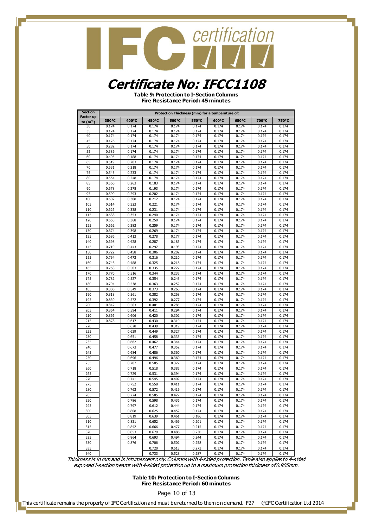#### **Certificate No: IFCC1108**

**Table 9: Protection to I-Section Columns Fire Resistance Period: 45 minutes**

| <b>Section</b> |                |                |                |                | Protection Thickness (mm) for a temperature of: |                |                |                |                |
|----------------|----------------|----------------|----------------|----------------|-------------------------------------------------|----------------|----------------|----------------|----------------|
| Factor up      | 350°C          | 400°C          | 450°C          | 500°C          | 550°C                                           | 600°C          | 650°C          | 700°C          | 750°C          |
| to $(m^{-1})$  | 0.174          |                |                |                | 0.174                                           |                |                |                |                |
| 30<br>35       | 0.174          | 0.174<br>0.174 | 0.174<br>0.174 | 0.174<br>0.174 | 0.174                                           | 0.174<br>0.174 | 0.174<br>0.174 | 0.174<br>0.174 | 0.174<br>0.174 |
| 40             | 0.174          | 0.174          | 0.174          | 0.174          | 0.174                                           | 0.174          | 0.174          | 0.174          | 0.174          |
| 45             | 0.176          | 0.174          | 0.174          | 0.174          | 0.174                                           | 0.174          | 0.174          | 0.174          | 0.174          |
| 50             | 0.282          | 0.174          | 0.174          | 0.174          | 0.174                                           | 0.174          | 0.174          | 0.174          | 0.174          |
| 55             | 0.389          | 0.174          | 0.174          | 0.174          | 0.174                                           | 0.174          | 0.174          | 0.174          | 0.174          |
| 60             | 0.495          | 0.188          | 0.174          | 0.174          | 0.174                                           | 0.174          | 0.174          | 0.174          | 0.174          |
| 65             | 0.519          | 0.203          | 0.174          | 0.174          | 0.174                                           | 0.174          | 0.174          | 0.174          | 0.174          |
| 70             | 0.531          | 0.218          | 0.174          | 0.174          | 0.174                                           | 0.174          | 0.174          | 0.174          | 0.174          |
| 75             | 0.543          | 0.233          | 0.174          | 0.174          | 0.174                                           | 0.174          | 0.174          | 0.174          | 0.174          |
| 80             | 0.554          | 0.248          | 0.174          | 0.174          | 0.174                                           | 0.174          | 0.174          | 0.174          | 0.174          |
| 85             | 0.566          | 0.263          | 0.183          | 0.174          | 0.174                                           | 0.174          | 0.174          | 0.174          | 0.174          |
| 90             | 0.578          | 0.278          | 0.193          | 0.174          | 0.174                                           | 0.174          | 0.174          | 0.174          | 0.174          |
| 95             | 0.590          | 0.293          | 0.202          | 0.174          | 0.174                                           | 0.174          | 0.174          | 0.174          | 0.174          |
| 100            | 0.602          | 0.308          | 0.212          | 0.174          | 0.174                                           | 0.174          | 0.174          | 0.174          | 0.174          |
| 105            | 0.614          | 0.323          | 0.221          | 0.174          | 0.174                                           | 0.174          | 0.174          | 0.174          | 0.174          |
| 110            | 0.626          | 0.338          | 0.231          | 0.174          | 0.174                                           | 0.174          | 0.174          | 0.174          | 0.174          |
| 115            | 0.638          | 0.353          | 0.240          | 0.174          | 0.174                                           |                | 0.174          | 0.174          |                |
|                | 0.650          | 0.368          |                | 0.174          | 0.174                                           | 0.174<br>0.174 | 0.174          | 0.174          | 0.174<br>0.174 |
| 120            |                |                | 0.250          |                |                                                 |                |                |                |                |
| 125<br>130     | 0.662<br>0.674 | 0.383<br>0.398 | 0.259<br>0.269 | 0.174<br>0.174 | 0.174<br>0.174                                  | 0.174<br>0.174 | 0.174<br>0.174 | 0.174<br>0.174 | 0.174<br>0.174 |
|                |                |                |                |                |                                                 |                |                |                |                |
| 135<br>140     | 0.686<br>0.698 | 0.413          | 0.278          | 0.177<br>0.185 | 0.174                                           | 0.174          | 0.174<br>0.174 | 0.174          | 0.174          |
|                |                | 0.428          | 0.287          |                | 0.174<br>0.174                                  | 0.174          |                | 0.174<br>0.174 | 0.174<br>0.174 |
| 145            | 0.710          | 0.443          | 0.297          | 0.193          | 0.174                                           | 0.174          | 0.174          | 0.174          |                |
| 150            | 0.722          | 0.458          | 0.306          | 0.202          |                                                 | 0.174          | 0.174<br>0.174 |                | 0.174          |
| 155            | 0.734          | 0.473          | 0.316          | 0.210          | 0.174                                           | 0.174          |                | 0.174          | 0.174          |
| 160            | 0.746          | 0.488          | 0.325          | 0.218          | 0.174                                           | 0.174          | 0.174          | 0.174          | 0.174          |
| 165            | 0.758          | 0.503          | 0.335          | 0.227          | 0.174                                           | 0.174          | 0.174          | 0.174          | 0.174          |
| 170            | 0.770          | 0.516          | 0.344          | 0.235          | 0.174                                           | 0.174          | 0.174          | 0.174          | 0.174          |
| 175            | 0.782          | 0.527          | 0.354          | 0.243          | 0.174                                           | 0.174          | 0.174          | 0.174          | 0.174          |
| 180            | 0.794          | 0.538          | 0.363          | 0.252          | 0.174                                           | 0.174          | 0.174          | 0.174          | 0.174          |
| 185            | 0.806          | 0.549          | 0.373          | 0.260          | 0.174                                           | 0.174          | 0.174          | 0.174          | 0.174          |
| 190            | 0.818          | 0.561          | 0.382          | 0.268          | 0.174                                           | 0.174          | 0.174          | 0.174          | 0.174          |
| 195            | 0.830          | 0.572          | 0.392          | 0.277          | 0.174                                           | 0.174          | 0.174          | 0.174          | 0.174          |
| 200            | 0.842          | 0.583          | 0.401          | 0.285          | 0.174                                           | 0.174          | 0.174          | 0.174          | 0.174          |
| 205<br>210     | 0.854          | 0.594          | 0.411          | 0.294          | 0.174                                           | 0.174          | 0.174          | 0.174          | 0.174          |
|                | 0.866          | 0.606          | 0.420          | 0.302          | 0.174                                           | 0.174          | 0.174          | 0.174          | 0.174          |
| 215<br>220     | 0.878          | 0.617          | 0.430<br>0.439 | 0.310<br>0.319 | 0.174<br>0.174                                  | 0.174<br>0.174 | 0.174<br>0.174 | 0.174<br>0.174 | 0.174<br>0.174 |
|                |                | 0.628          |                |                |                                                 |                |                |                |                |
| 225<br>230     |                | 0.639          | 0.449<br>0.458 | 0.327<br>0.335 | 0.174<br>0.174                                  | 0.174<br>0.174 | 0.174<br>0.174 | 0.174<br>0.174 | 0.174          |
| 235            |                | 0.651          |                | 0.344          | 0.174                                           |                | 0.174          | 0.174          | 0.174          |
|                |                | 0.662          | 0.467          |                |                                                 | 0.174          |                |                | 0.174          |
| 240<br>245     |                | 0.673          | 0.477<br>0.486 | 0.352<br>0.360 | 0.174<br>0.174                                  | 0.174<br>0.174 | 0.174<br>0.174 | 0.174<br>0.174 | 0.174<br>0.174 |
| 250            |                | 0.684<br>0.696 | 0.496          | 0.369          | 0.174                                           | 0.174          | 0.174          | 0.174          | 0.174          |
| 255            |                | 0.707          | 0.505          | 0.377          | 0.174                                           | 0.174          | 0.174          | 0.174          | 0.174          |
| 260            |                | 0.718          | 0.518          | 0.385          | 0.174                                           | 0.174          | 0.174          | 0.174          | 0.174          |
|                |                | 0.729          |                | 0.394          |                                                 |                |                |                |                |
| 265<br>270     |                | 0.741          | 0.531<br>0.545 | 0.402          | 0.174<br>0.174                                  | 0.174<br>0.174 | 0.174<br>0.174 | 0.174<br>0.174 | 0.174<br>0.174 |
| 275            |                |                |                | 0.411          | 0.174                                           |                |                |                |                |
| 280            |                | 0.752<br>0.763 | 0.558<br>0.572 | 0.419          | 0.174                                           | 0.174<br>0.174 | 0.174<br>0.174 | 0.174<br>0.174 | 0.174<br>0.174 |
| 285            |                | 0.774          |                | 0.427          | 0.174                                           |                | 0.174          | 0.174          | 0.174          |
|                |                |                | 0.585          | 0.436          |                                                 | 0.174<br>0.174 |                |                |                |
| 290<br>295     |                | 0.786<br>0.797 | 0.598          | 0.444          | 0.174<br>0.174                                  | 0.174          | 0.174<br>0.174 | 0.174<br>0.174 | 0.174          |
|                |                |                | 0.612          |                |                                                 |                |                |                | 0.174          |
| 300            |                | 0.808          | 0.625          | 0.452          | 0.174                                           | 0.174          | 0.174          | 0.174          | 0.174          |
| 305            |                | 0.819          | 0.639          | 0.461          | 0.186                                           | 0.174          | 0.174          | 0.174<br>0.174 | 0.174          |
| 310            |                | 0.831<br>0.842 | 0.652          | 0.469          | 0.201                                           | 0.174          | 0.174          | 0.174          | 0.174          |
| 315            |                |                | 0.666          | 0.477          | 0.215                                           | 0.174          | 0.174          |                | 0.174          |
| 320            |                | 0.853          | 0.679          | 0.486          | 0.230                                           | 0.174          | 0.174          | 0.174          | 0.174          |
| 325            |                | 0.864          | 0.693          | 0.494          | 0.244                                           | 0.174          | 0.174          | 0.174          | 0.174          |
| 330            |                | 0.876          | 0.706          | 0.502          | 0.258                                           | 0.174          | 0.174          | 0.174          | 0.174          |
| 335            |                |                | 0.720          | 0.513          | 0.273                                           | 0.174          | 0.174          | 0.174          | 0.174          |
| 340            |                |                | 0.733          | 0.528          | 0.287                                           | 0.174          | 0.174          | 0.174          | 0.174          |

Thickness is in mm and is intumescent only. Columns with 4-sided protection. Table also applies to 4-sided exposed I-section beams with 4-sided protection up to a maximum protection thickness of 0.905mm.

> **Table 10: Protection to I-Section Columns Fire Resistance Period: 60 minutes**

> > Page 10 of 13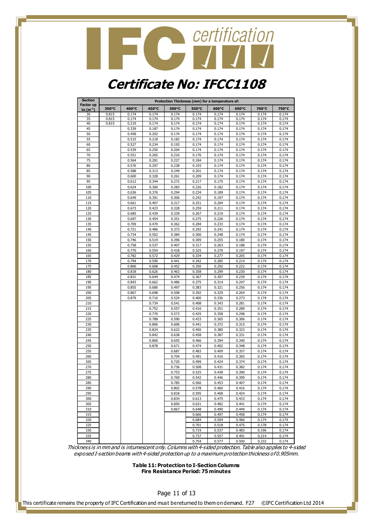### Contification

#### **Certificate No: IFCC1108**

| <b>Section</b><br>Factor up |       |       |       |       | Protection Thickness (mm) for a temperature of: |       |       |       |       |
|-----------------------------|-------|-------|-------|-------|-------------------------------------------------|-------|-------|-------|-------|
| to $(m^{-1})$               | 350°C | 400°C | 450°C | 500°C | 550°C                                           | 600°C | 650°C | 700°C | 750°C |
| 30                          | 0.815 | 0.174 | 0.174 | 0.174 | 0.174                                           | 0.174 | 0.174 | 0.174 | 0.174 |
| 35                          | 0.815 | 0.174 | 0.174 | 0.174 | 0.174                                           | 0.174 | 0.174 | 0.174 | 0.174 |
| 40                          | 0.815 | 0.219 | 0.174 | 0.174 | 0.174                                           | 0.174 | 0.174 | 0.174 | 0.174 |
| 45                          |       | 0.339 | 0.187 | 0.174 | 0.174                                           | 0.174 | 0.174 | 0.174 | 0.174 |
| 50                          |       | 0.458 | 0.202 | 0.174 | 0.174                                           | 0.174 | 0.174 | 0.174 | 0.174 |
| 55                          |       | 0.515 | 0.218 | 0.182 | 0.174                                           | 0.174 | 0.174 | 0.174 | 0.174 |
| 60                          |       | 0.527 | 0.234 | 0.193 | 0.174                                           | 0.174 | 0.174 | 0.174 | 0.174 |
| 65                          |       | 0.539 | 0.250 | 0.204 | 0.174                                           | 0.174 | 0.174 | 0.174 | 0.174 |
| 70                          |       | 0.551 | 0.265 | 0.216 | 0.176                                           | 0.174 | 0.174 | 0.174 | 0.174 |
| 75                          |       | 0.564 | 0.281 | 0.227 | 0.184                                           | 0.174 | 0.174 | 0.174 | 0.174 |
| 80                          |       | 0.576 | 0.297 | 0.238 | 0.193                                           | 0.174 | 0.174 | 0.174 | 0.174 |
| 85                          |       | 0.588 | 0.313 | 0.249 | 0.201                                           | 0.174 | 0.174 | 0.174 | 0.174 |
| 90                          |       | 0.600 | 0.328 | 0.261 | 0.209                                           | 0.174 | 0.174 | 0.174 | 0.174 |
| 95                          |       | 0.612 | 0.344 | 0.272 | 0.217                                           | 0.175 | 0.174 | 0.174 | 0.174 |
| 100                         |       | 0.624 | 0.360 | 0.283 | 0.226                                           | 0.182 | 0.174 | 0.174 | 0.174 |
| 105                         |       | 0.636 | 0.376 | 0.294 | 0.234                                           | 0.189 | 0.174 | 0.174 | 0.174 |
| 110                         |       | 0.649 | 0.391 | 0.306 | 0.242                                           | 0.197 | 0.174 | 0.174 | 0.174 |
| 115                         |       | 0.661 | 0.407 | 0.317 | 0.251                                           | 0.204 | 0.174 | 0.174 | 0.174 |
| 120                         |       | 0.673 | 0.423 | 0.328 | 0.259                                           | 0.211 | 0.174 | 0.174 | 0.174 |
| 125                         |       | 0.685 | 0.439 | 0.339 | 0.267                                           | 0.219 | 0.174 | 0.174 | 0.174 |
| 130                         |       | 0.697 | 0.454 | 0.351 | 0.275                                           | 0.226 | 0.174 | 0.174 | 0.174 |
| 135                         |       | 0.709 | 0.470 | 0.362 | 0.284                                           | 0.233 | 0.174 | 0.174 | 0.174 |
| 140                         |       | 0.721 | 0.486 | 0.373 | 0.292                                           | 0.241 | 0.174 | 0.174 | 0.174 |
| 145                         |       | 0.734 | 0.502 | 0.384 | 0.300                                           | 0.248 | 0.174 | 0.174 | 0.174 |
| 150                         |       | 0.746 | 0.519 | 0.396 | 0.309                                           | 0.255 | 0.180 | 0.174 | 0.174 |
| 155                         |       | 0.758 | 0.537 | 0.407 | 0.317                                           | 0.263 | 0.188 | 0.174 | 0.174 |
| 160                         |       | 0.770 | 0.554 | 0.418 | 0.325                                           | 0.270 | 0.197 | 0.174 | 0.174 |
| 165                         |       | 0.782 | 0.572 | 0.429 | 0.334                                           | 0.277 | 0.205 | 0.174 | 0.174 |
| 170                         |       | 0.794 | 0.590 | 0.441 | 0.342                                           | 0.285 | 0.214 | 0.174 | 0.174 |
| 175                         |       | 0.806 | 0.608 | 0.452 | 0.350                                           | 0.292 | 0.222 | 0.174 | 0.174 |
| 180                         |       | 0.818 | 0.626 | 0.463 | 0.358                                           | 0.299 | 0.230 | 0.174 | 0.174 |
| 185                         |       | 0.831 | 0.644 | 0.474 | 0.367                                           | 0.307 | 0.239 | 0.174 | 0.174 |
| 190                         |       | 0.843 | 0.662 | 0.486 | 0.375                                           | 0.314 | 0.247 | 0.174 | 0.174 |
| 195                         |       | 0.855 | 0.680 | 0.497 | 0.383                                           | 0.321 | 0.256 | 0.174 | 0.174 |
| 200                         |       | 0.867 | 0.698 | 0.508 | 0.392                                           | 0.329 | 0.264 | 0.174 | 0.174 |
| 205                         |       | 0.879 | 0.716 | 0.524 | 0.400                                           | 0.336 | 0.273 | 0.174 | 0.174 |
| 210                         |       |       | 0.734 | 0.541 | 0.408                                           | 0.343 | 0.281 | 0.174 | 0.174 |
| 215                         |       |       | 0.752 | 0.557 | 0.416                                           | 0.351 | 0.289 | 0.174 | 0.174 |
| 220                         |       |       | 0.770 | 0.573 | 0.425                                           | 0.358 | 0.298 | 0.174 | 0.174 |
| 225                         |       |       | 0.788 | 0.590 | 0.433                                           | 0.365 | 0.306 | 0.174 | 0.174 |
| 230                         |       |       | 0.806 | 0.606 | 0.441                                           | 0.372 | 0.315 | 0.174 | 0.174 |
| 235                         |       |       | 0.824 | 0.622 | 0.450                                           | 0.380 | 0.323 | 0.174 | 0.174 |
| 240                         |       |       | 0.842 | 0.638 | 0.458                                           | 0.387 | 0.331 | 0.174 | 0.174 |
| 245                         |       |       | 0.860 | 0.655 | 0.466                                           | 0.394 | 0.340 | 0.174 | 0.174 |
| 250                         |       |       | 0.878 | 0.671 | 0.474                                           | 0.402 | 0.348 | 0.174 | 0.174 |
| 255                         |       |       |       | 0.687 | 0.483                                           | 0.409 | 0.357 | 0.174 | 0.174 |
| 260                         |       |       |       | 0.704 | 0.491                                           | 0.416 | 0.365 | 0.174 | 0.174 |
| 265                         |       |       |       | 0.720 | 0.499                                           | 0.424 | 0.374 | 0.174 | 0.174 |
| 270                         |       |       |       | 0.736 | 0.508                                           | 0.431 | 0.382 | 0.174 | 0.174 |
| 275                         |       |       |       | 0.753 | 0.525                                           | 0.438 | 0.390 | 0.174 | 0.174 |
| 280                         |       |       |       | 0.769 | 0.542                                           | 0.446 | 0.399 | 0.174 | 0.174 |
| 285                         |       |       |       | 0.785 | 0.560                                           | 0.453 | 0.407 | 0.174 | 0.174 |
| 290                         |       |       |       | 0.802 | 0.578                                           | 0.460 | 0.416 | 0.174 | 0.174 |
| 295                         |       |       |       | 0.818 | 0.595                                           | 0.468 | 0.424 | 0.174 | 0.174 |
| 300                         |       |       |       | 0.834 | 0.613                                           | 0.475 | 0.433 | 0.174 | 0.174 |
| 305                         |       |       |       | 0.850 | 0.631                                           | 0.482 | 0.441 | 0.174 | 0.174 |
| 310                         |       |       |       | 0.867 | 0.648                                           | 0.490 | 0.449 | 0.174 | 0.174 |
| 315                         |       |       |       |       | 0.666                                           | 0.497 | 0.458 | 0.174 | 0.174 |
| 320                         |       |       |       |       | 0.684                                           | 0.504 | 0.466 | 0.174 | 0.174 |
| 325                         |       |       |       |       | 0.701                                           | 0.518 | 0.475 | 0.178 | 0.174 |
| 330                         |       |       |       |       | 0.719                                           | 0.537 | 0.483 | 0.196 | 0.174 |
| 335                         |       |       |       |       | 0.737                                           | 0.557 | 0.491 | 0.214 | 0.174 |
| 340                         |       |       |       |       | 0.754                                           | 0.577 | 0.500 | 0.232 | 0.174 |
|                             |       |       |       |       |                                                 |       |       |       |       |

Thickness is in mm and is intumescent only. Columns with 4-sided protection. Table also applies to 4-sided exposed I-section beams with 4-sided protection up to a maximum protection thickness of 0.905mm.

> **Table 11: Protection to I-Section Columns Fire Resistance Period: 75 minutes**

> > Page 11 of 13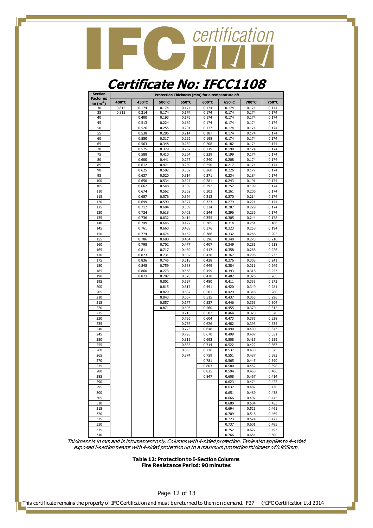

#### **Certificate No: IFCC1108**

| <b>Section</b>                    |       |       |       |       |       | Protection Thickness (mm) for a temperature of: |       |       |
|-----------------------------------|-------|-------|-------|-------|-------|-------------------------------------------------|-------|-------|
| <b>Factor up</b><br>to $(m^{-1})$ | 400°C | 450°C | 500°C | 550°C | 600°C | 650°C                                           | 700°C | 750°C |
| 30                                | 0.815 | 0.174 | 0.174 | 0.174 | 0.174 | 0.174                                           | 0.174 | 0.174 |
| 35                                | 0.815 | 0.214 | 0.174 | 0.174 | 0.174 | 0.174                                           | 0.174 | 0.174 |
| 40                                |       | 0.400 | 0.193 | 0.176 | 0.174 | 0.174                                           | 0.174 | 0.174 |
| 45                                |       | 0.513 | 0.224 | 0.189 | 0.174 | 0.174                                           | 0.174 | 0.174 |
| 50                                |       | 0.526 | 0.255 | 0.201 | 0.177 | 0.174                                           | 0.174 | 0.174 |
| 55                                |       | 0.538 | 0.286 | 0.214 | 0.187 | 0.174                                           | 0.174 | 0.174 |
| 60                                |       | 0.550 | 0.317 | 0.226 | 0.198 | 0.174                                           | 0.174 | 0.174 |
| 65                                |       | 0.563 | 0.348 | 0.239 | 0.208 | 0.182                                           | 0.174 | 0.174 |
| 70                                |       | 0.575 | 0.379 | 0.252 | 0.219 | 0.190                                           | 0.174 | 0.174 |
| 75                                |       | 0.588 | 0.410 | 0.264 | 0.229 | 0.199                                           | 0.174 | 0.174 |
| 80                                |       | 0.600 | 0.441 | 0.277 | 0.240 | 0.208                                           | 0.174 | 0.174 |
| 85                                |       | 0.612 | 0.471 | 0.289 | 0.250 | 0.217                                           | 0.174 | 0.174 |
| 90                                |       | 0.625 | 0.502 | 0.302 | 0.260 | 0.226                                           | 0.177 | 0.174 |
| 95                                |       | 0.637 | 0.520 | 0.314 | 0.271 | 0.234                                           | 0.184 | 0.174 |
| 100                               |       | 0.650 | 0.534 | 0.327 | 0.281 | 0.243                                           | 0.191 | 0.174 |
| 105                               |       | 0.662 | 0.548 | 0.339 | 0.292 | 0.252                                           | 0.199 | 0.174 |
| 110                               |       | 0.674 | 0.562 | 0.352 | 0.302 | 0.261                                           | 0.206 | 0.174 |
| 115                               |       | 0.687 | 0.576 | 0.364 | 0.313 | 0.270                                           | 0.214 | 0.174 |
| 120                               |       | 0.699 | 0.590 | 0.377 | 0.323 | 0.279                                           | 0.221 | 0.174 |
| 125                               |       | 0.712 | 0.604 | 0.389 | 0.334 |                                                 | 0.229 | 0.174 |
|                                   |       |       |       |       |       | 0.287                                           |       | 0.174 |
| 130                               |       | 0.724 | 0.618 | 0.402 | 0.344 | 0.296                                           | 0.236 |       |
| 135                               |       | 0.736 | 0.632 | 0.414 | 0.355 | 0.305                                           | 0.244 | 0.178 |
| 140                               |       | 0.749 | 0.646 | 0.427 | 0.365 | 0.314                                           | 0.251 | 0.186 |
| 145                               |       | 0.761 | 0.660 | 0.439 | 0.376 | 0.323                                           | 0.258 | 0.194 |
| 150                               |       | 0.774 | 0.674 | 0.452 | 0.386 | 0.332                                           | 0.266 | 0.202 |
| 155                               |       | 0.786 | 0.688 | 0.464 | 0.396 | 0.340                                           | 0.273 | 0.210 |
| 160                               |       | 0.798 | 0.702 | 0.477 | 0.407 | 0.349                                           | 0.281 | 0.218 |
| 165                               |       | 0.811 | 0.717 | 0.489 | 0.417 | 0.358                                           | 0.288 | 0.226 |
| 170                               |       | 0.823 | 0.731 | 0.502 | 0.428 | 0.367                                           | 0.296 | 0.233 |
| 175                               |       | 0.836 | 0.745 | 0.518 | 0.438 | 0.376                                           | 0.303 | 0.241 |
| 180                               |       | 0.848 | 0.759 | 0.538 | 0.449 | 0.384                                           | 0.311 | 0.249 |
| 185                               |       | 0.860 | 0.773 | 0.558 | 0.459 | 0.393                                           | 0.318 | 0.257 |
| 190                               |       | 0.873 | 0.787 | 0.578 | 0.470 | 0.402                                           | 0.326 | 0.265 |
| 195                               |       |       | 0.801 | 0.597 | 0.480 | 0.411                                           | 0.333 | 0.273 |
| 200                               |       |       | 0.815 | 0.617 | 0.491 | 0.420                                           | 0.340 | 0.281 |
| 205                               |       |       | 0.829 | 0.637 | 0.501 | 0.429                                           | 0.348 | 0.288 |
| 210                               |       |       | 0.843 | 0.657 | 0.515 | 0.437                                           | 0.355 | 0.296 |
| 215                               |       |       | 0.857 | 0.677 | 0.537 | 0.446                                           | 0.363 | 0.304 |
| 220                               |       |       | 0.871 | 0.696 | 0.560 | 0.455                                           | 0.370 | 0.312 |
| 225                               |       |       |       | 0.716 | 0.582 | 0.464                                           | 0.378 | 0.320 |
| 230                               |       |       |       | 0.736 | 0.604 | 0.473                                           | 0.385 | 0.328 |
| 235                               |       |       |       | 0.756 | 0.626 | 0.482                                           | 0.393 | 0.335 |
| 240                               |       |       |       | 0.775 | 0.648 | 0.490                                           | 0.400 | 0.343 |
|                                   |       |       |       | 0.795 | 0.670 | 0.499                                           |       | 0.351 |
| 245                               |       |       |       |       |       | 0.508                                           | 0.407 |       |
| 250                               |       |       |       | 0.815 | 0.692 |                                                 | 0.415 | 0.359 |
| 255                               |       |       |       | 0.835 | 0.714 | 0.522                                           | 0.422 | 0.367 |
| 260                               |       |       |       | 0.855 | 0.736 | 0.537                                           | 0.430 | 0.375 |
| 265                               |       |       |       | 0.874 | 0.759 | 0.551                                           | 0.437 | 0.383 |
| 270                               |       |       |       |       | 0.781 | 0.565                                           | 0.445 | 0.390 |
| 275                               |       |       |       |       | 0.803 | 0.580                                           | 0.452 | 0.398 |
| 280                               |       |       |       |       | 0.825 | 0.594                                           | 0.460 | 0.406 |
| 285                               |       |       |       |       | 0.847 | 0.608                                           | 0.467 | 0.414 |
| 290                               |       |       |       |       |       | 0.623                                           | 0.474 | 0.422 |
| 295                               |       |       |       |       |       | 0.637                                           | 0.482 | 0.430 |
| 300                               |       |       |       |       |       | 0.651                                           | 0.489 | 0.438 |
| 305                               |       |       |       |       |       | 0.666                                           | 0.497 | 0.445 |
| 310                               |       |       |       |       |       | 0.680                                           | 0.504 | 0.453 |
| 315                               |       |       |       |       |       | 0.694                                           | 0.521 | 0.461 |
| 320                               |       |       |       |       |       | 0.709                                           | 0.548 | 0.469 |
| 325                               |       |       |       |       |       | 0.723                                           | 0.574 | 0.477 |
| 330                               |       |       |       |       |       | 0.737                                           | 0.601 | 0.485 |
| 335                               |       |       |       |       |       | 0.752                                           | 0.627 | 0.493 |
|                                   |       |       |       |       |       | 0.766                                           | 0.654 | 0.500 |
| 340                               |       |       |       |       |       |                                                 |       |       |

Thickness is in mm and is intumescent only. Columns with 4-sided protection. Table also applies to 4-sided exposed I-section beams with 4-sided protection up to a maximum protection thickness of 0.905mm.

> **Table 12: Protection to I-Section Columns Fire Resistance Period: 90 minutes**

> > Page 12 of 13